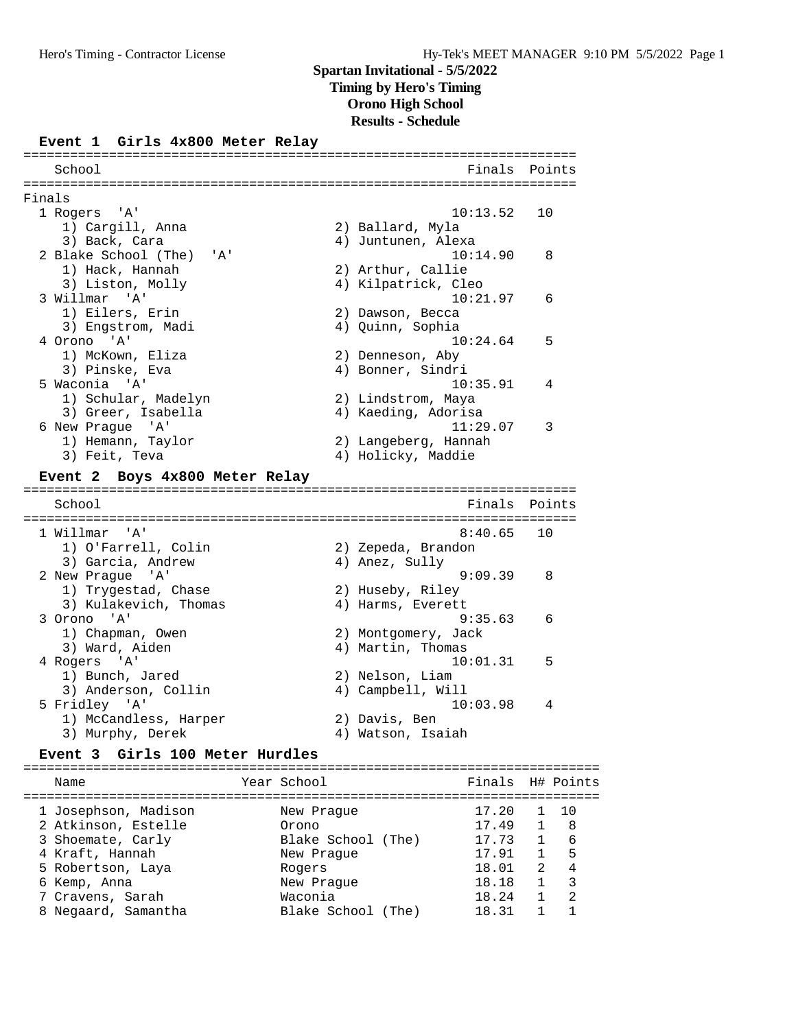### **Event 1 Girls 4x800 Meter Relay**

| School                                                       | Finals                        | Points |
|--------------------------------------------------------------|-------------------------------|--------|
|                                                              |                               |        |
| Finals                                                       |                               |        |
| 1 Rogers<br>'' A '                                           | 10:13.52                      | 10     |
| 1) Cargill, Anna                                             | 2) Ballard, Myla              |        |
| 3) Back, Cara                                                | 4) Juntunen, Alexa            |        |
| 2 Blake School (The)<br>' A'                                 | 10:14.90                      | 8      |
| 1) Hack, Hannah                                              | 2) Arthur, Callie             |        |
| 3) Liston, Molly                                             | 4) Kilpatrick, Cleo           |        |
| $^{\prime}$ A <sup><math>^{\prime}</math></sup><br>3 Willmar | 10:21.97                      | 6      |
| 1) Eilers, Erin                                              | 2) Dawson, Becca              |        |
| 3) Engstrom, Madi                                            | 4) Quinn, Sophia              |        |
| 4 Orono 'A'                                                  | 10:24.64                      | 5      |
| 1) McKown, Eliza                                             | 2) Denneson, Aby              |        |
| 3) Pinske, Eva                                               | 4) Bonner, Sindri             |        |
| 5 Waconia 'A'                                                | 10:35.91                      | 4      |
| 1) Schular, Madelyn                                          | 2) Lindstrom, Maya            |        |
| 3) Greer, Isabella                                           | 4) Kaeding, Adorisa           |        |
| 6 New Prague<br>'' A '                                       | 11:29.07                      | 3      |
| 1) Hemann, Taylor                                            | 2) Langeberg, Hannah          |        |
| 3) Feit, Teva                                                | 4) Holicky, Maddie            |        |
|                                                              |                               |        |
| Event 2 Boys 4x800 Meter Relay                               |                               |        |
| ==============<br>School                                     | Finals                        | Points |
|                                                              |                               |        |
| 1 Willmar<br>' A '                                           | 8:40.65                       | 10     |
|                                                              | 2) Zepeda, Brandon            |        |
| 1) O'Farrell, Colin                                          | 4) Anez, Sully                |        |
| 3) Garcia, Andrew<br>'' A '                                  | 9:09.39                       | 8      |
| 2 New Prague                                                 |                               |        |
| 1) Trygestad, Chase                                          | 2) Huseby, Riley              |        |
| 3) Kulakevich, Thomas                                        | 4) Harms, Everett<br>9:35.63  | 6      |
| 3 Orono 'A'                                                  |                               |        |
| 1) Chapman, Owen                                             | 2) Montgomery, Jack           |        |
| 3) Ward, Aiden                                               | 4) Martin, Thomas             |        |
| 4 Rogers 'A'                                                 | 10:01.31                      | 5      |
| 1) Bunch, Jared                                              | 2) Nelson, Liam               |        |
| 3) Anderson, Collin                                          | 4) Campbell, Will<br>10:03.98 | 4      |
| 5 Fridley 'A'                                                |                               |        |
| 1) McCandless, Harper                                        | 2) Davis, Ben                 |        |
| 3) Murphy, Derek                                             | 4) Watson, Isaiah             |        |
| Girls 100 Meter Hurdles<br>Event 3                           |                               |        |

| Name                                     | Year School                   | Finals H# Points |   |         |
|------------------------------------------|-------------------------------|------------------|---|---------|
| 1 Josephson, Madison                     | New Praque                    | 17.20            |   | 10      |
| 2 Atkinson, Estelle<br>3 Shoemate, Carly | Orono<br>Blake School (The)   | 17.49<br>17.73   |   | -8<br>6 |
| 4 Kraft, Hannah                          | New Praque                    | 17.91            |   | 5       |
| 5 Robertson, Laya                        | Rogers                        | 18.01            | 2 | 4       |
| 6 Kemp, Anna                             | New Praque                    | 18.18            |   | 3       |
| 7 Cravens, Sarah<br>8 Negaard, Samantha  | Waconia<br>Blake School (The) | 18.24<br>18.31   |   | 2       |
|                                          |                               |                  |   |         |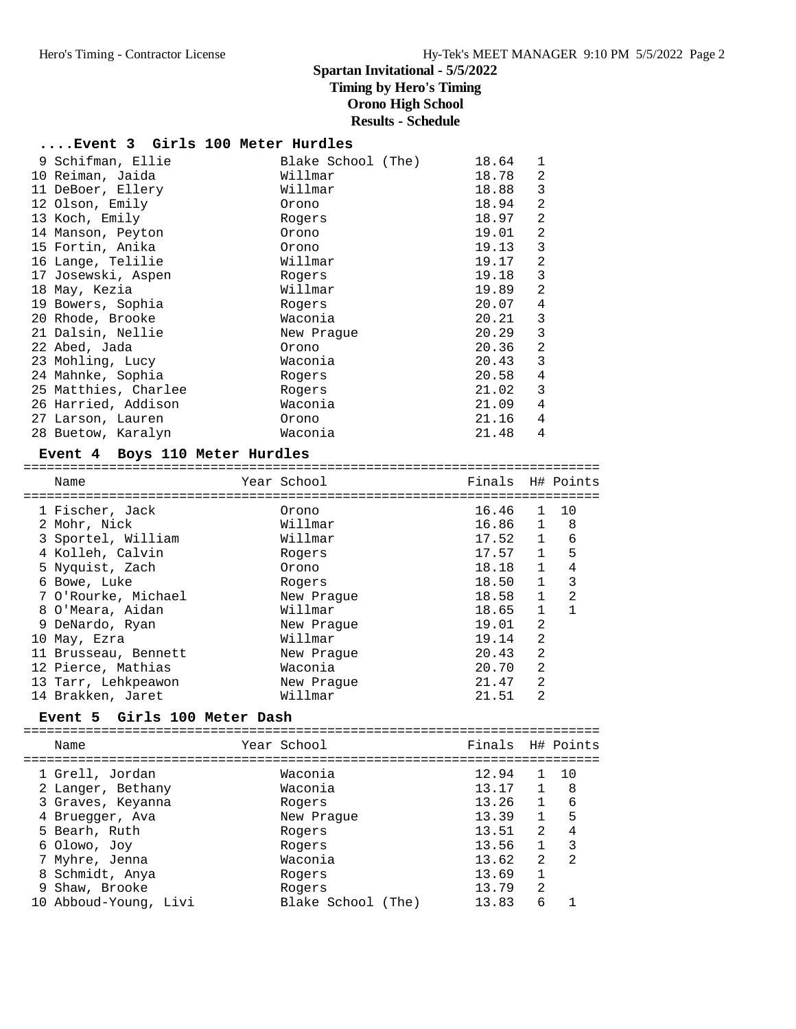# **....Event 3 Girls 100 Meter Hurdles**

| 9 Schifman, Ellie    | Blake School (The) | 18.64 | 1              |
|----------------------|--------------------|-------|----------------|
| 10 Reiman, Jaida     | Willmar            | 18.78 | 2              |
| 11 DeBoer, Ellery    | Willmar            | 18.88 | 3              |
| 12 Olson, Emily      | Orono              | 18.94 | 2              |
| 13 Koch, Emily       | Rogers             | 18.97 | 2              |
| 14 Manson, Peyton    | Orono              | 19.01 | 2              |
| 15 Fortin, Anika     | Orono              | 19.13 | 3              |
| 16 Lange, Telilie    | Willmar            | 19.17 | $\overline{2}$ |
| 17 Josewski, Aspen   | Rogers             | 19.18 | 3              |
| 18 May, Kezia        | Willmar            | 19.89 | 2              |
| 19 Bowers, Sophia    | Rogers             | 20.07 | 4              |
| 20 Rhode, Brooke     | Waconia            | 20.21 | 3              |
| 21 Dalsin, Nellie    | New Praque         | 20.29 | 3              |
| 22 Abed, Jada        | Orono              | 20.36 | 2              |
| 23 Mohling, Lucy     | Waconia            | 20.43 | 3              |
| 24 Mahnke, Sophia    | Rogers             | 20.58 | 4              |
| 25 Matthies, Charlee | Rogers             | 21.02 | 3              |
| 26 Harried, Addison  | Waconia            | 21.09 | 4              |
| 27 Larson, Lauren    | Orono              | 21.16 | 4              |
| 28 Buetow, Karalyn   | Waconia            | 21.48 | 4              |
|                      |                    |       |                |

#### **Event 4 Boys 110 Meter Hurdles**

==========================================================================

| Name                 | Year School | Finals H# Points |              |              |
|----------------------|-------------|------------------|--------------|--------------|
| 1 Fischer, Jack      | Orono       | 16.46            | $\mathbf{1}$ | 10           |
| 2 Mohr, Nick         | Willmar     | 16.86 1          |              | - 8          |
| 3 Sportel, William   | Willmar     | 17.52            | $\mathbf{1}$ | 6            |
| 4 Kolleh, Calvin     | Rogers      | 17.57            | $\mathbf{1}$ | 5            |
| 5 Nyquist, Zach      | Orono       | 18.18            | $\mathbf{1}$ | 4            |
| 6 Bowe, Luke         | Rogers      | 18.50            | $\mathbf{1}$ | 3            |
| 7 O'Rourke, Michael  | New Praque  | 18.58            | $\mathbf{1}$ | 2            |
| 8 O'Meara, Aidan     | Willmar     | 18.65            | $\mathbf{1}$ | $\mathbf{1}$ |
| 9 DeNardo, Ryan      | New Praque  | 19.01            | 2            |              |
| 10 May, Ezra         | Willmar     | 19.14            | 2            |              |
| 11 Brusseau, Bennett | New Praque  | 20.43            | 2            |              |
| 12 Pierce, Mathias   | Waconia     | 20.70            | 2            |              |
| 13 Tarr, Lehkpeawon  | New Praque  | 21.47            | 2            |              |
| 14 Brakken, Jaret    | Willmar     | 21.51            | 2            |              |

### **Event 5 Girls 100 Meter Dash**

|   | Name                                 | Year School        | Finals H# Points |                |                |
|---|--------------------------------------|--------------------|------------------|----------------|----------------|
|   | 1 Grell, Jordan<br>2 Langer, Bethany | Waconia<br>Waconia | 12.94<br>13.17   |                | 10<br>8        |
|   | 3 Graves, Keyanna                    | Rogers             | 13.26            | $\mathbf{1}$   | 6              |
|   | 4 Bruegger, Ava                      | New Praque         | 13.39            | $\mathbf{1}$   | 5              |
|   | 5 Bearh, Ruth                        | Rogers             | 13.51            | $\mathfrak{D}$ | 4              |
|   | 6 Olowo, Joy                         | Rogers             | 13.56            | $\mathbf{1}$   | 3              |
|   | 7 Myhre, Jenna                       | Waconia            | 13.62            | $\mathfrak{D}$ | $\mathfrak{D}$ |
|   | 8 Schmidt, Anya                      | Rogers             | 13.69            | 1              |                |
| 9 | Shaw, Brooke                         | Rogers             | 13.79            | $\mathfrak{D}$ |                |
|   | 10 Abboud-Young, Livi                | Blake School (The) | 13.83            | 6              |                |
|   |                                      |                    |                  |                |                |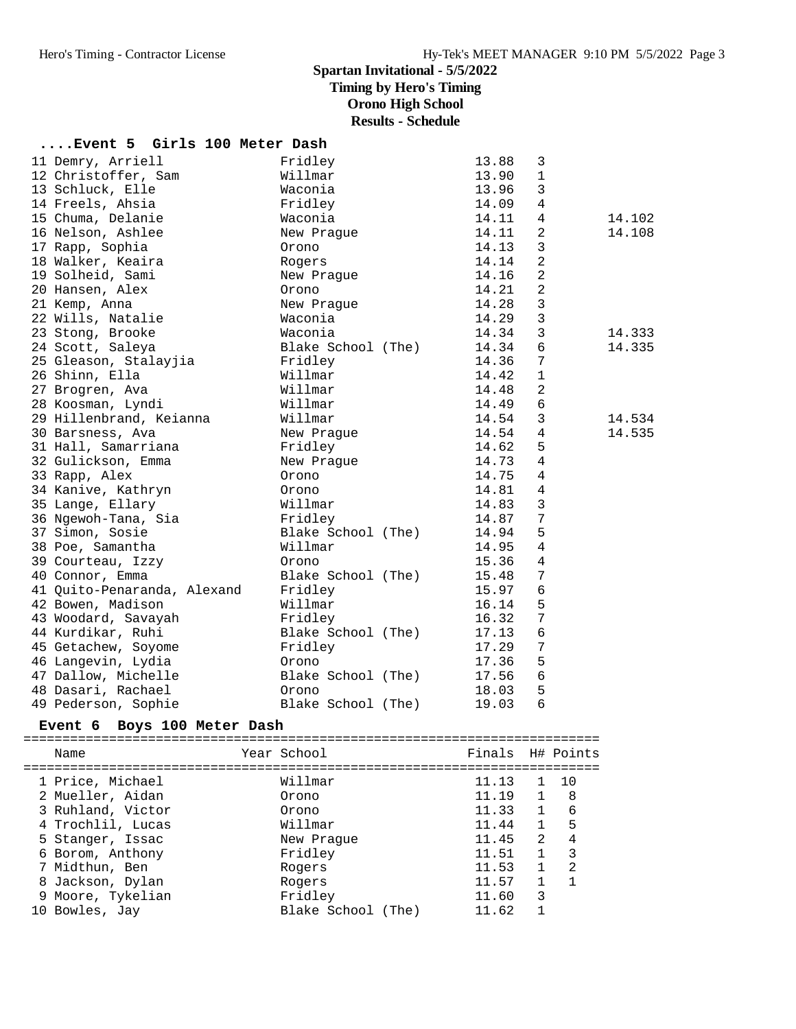**....Event 5 Girls 100 Meter Dash**

# **Spartan Invitational - 5/5/2022 Timing by Hero's Timing Orono High School**

**Results - Schedule**

| $\mathbf{1}$<br>12 Christoffer, Sam<br>Willmar<br>13.90<br>$\mathbf{3}$<br>13 Schluck, Elle<br>Waconia<br>13.96<br>$\overline{4}$<br>14 Freels, Ahsia<br>Fridley<br>14.09<br>15 Chuma, Delanie<br>14.11<br>$\overline{4}$<br>14.102<br>Waconia |  |
|------------------------------------------------------------------------------------------------------------------------------------------------------------------------------------------------------------------------------------------------|--|
|                                                                                                                                                                                                                                                |  |
|                                                                                                                                                                                                                                                |  |
|                                                                                                                                                                                                                                                |  |
|                                                                                                                                                                                                                                                |  |
| 16 Nelson, Ashlee<br>2<br>14.11<br>14.108<br>New Praque                                                                                                                                                                                        |  |
| 3<br>17 Rapp, Sophia<br>14.13<br>Orono                                                                                                                                                                                                         |  |
| 2<br>18 Walker, Keaira<br>14.14<br>Rogers                                                                                                                                                                                                      |  |
| 2<br>14.16<br>19 Solheid, Sami<br>New Prague                                                                                                                                                                                                   |  |
| $\overline{2}$<br>14.21<br>20 Hansen, Alex<br>Orono                                                                                                                                                                                            |  |
| $\mathbf{3}$<br>21 Kemp, Anna<br>14.28<br>New Praque                                                                                                                                                                                           |  |
| $\mathbf{3}$<br>22 Wills, Natalie<br>14.29<br>Waconia                                                                                                                                                                                          |  |
| $\mathbf{3}$<br>23 Stong, Brooke<br>14.34<br>Waconia<br>14.333                                                                                                                                                                                 |  |
| $6\phantom{1}6$<br>24 Scott, Saleya<br>14.34<br>14.335<br>Blake School (The)                                                                                                                                                                   |  |
| $7\phantom{.0}$<br>25 Gleason, Stalayjia<br>Fridley<br>14.36                                                                                                                                                                                   |  |
| 26 Shinn, Ella<br>14.42<br>$\mathbf{1}$<br>Willmar                                                                                                                                                                                             |  |
| $\overline{2}$<br>27 Brogren, Ava<br>Willmar<br>14.48                                                                                                                                                                                          |  |
| 28 Koosman, Lyndi<br>Willmar<br>14.49<br>6                                                                                                                                                                                                     |  |
| Willmar<br>3<br>29 Hillenbrand, Keianna<br>14.54<br>14.534                                                                                                                                                                                     |  |
| 14.54<br>4<br>14.535<br>30 Barsness, Ava<br>New Praque                                                                                                                                                                                         |  |
| 5<br>14.62<br>31 Hall, Samarriana<br>Fridley                                                                                                                                                                                                   |  |
| $\overline{4}$<br>32 Gulickson, Emma<br>14.73<br>New Prague                                                                                                                                                                                    |  |
| $\overline{4}$<br>14.75<br>33 Rapp, Alex<br>Orono                                                                                                                                                                                              |  |
| $\overline{4}$<br>34 Kanive, Kathryn<br>14.81<br>Orono                                                                                                                                                                                         |  |
| $\mathbf{3}$<br>35 Lange, Ellary<br>Willmar<br>14.83                                                                                                                                                                                           |  |
| 7<br>36 Ngewoh-Tana, Sia<br>Fridley<br>14.87                                                                                                                                                                                                   |  |
| 5<br>37 Simon, Sosie<br>14.94<br>Blake School (The)                                                                                                                                                                                            |  |
| 38 Poe, Samantha<br>Willmar<br>$\overline{4}$<br>14.95                                                                                                                                                                                         |  |
| 39 Courteau, Izzy<br>15.36<br>4<br>Orono                                                                                                                                                                                                       |  |
| 7<br>Blake School (The)<br>40 Connor, Emma<br>15.48                                                                                                                                                                                            |  |
| 6<br>Fridley<br>15.97<br>41 Quito-Penaranda, Alexand                                                                                                                                                                                           |  |
| 5<br>42 Bowen, Madison<br>Willmar<br>16.14                                                                                                                                                                                                     |  |
| $7\phantom{.0}$<br>43 Woodard, Savayah<br>Fridley<br>16.32                                                                                                                                                                                     |  |
| 6<br>44 Kurdikar, Ruhi<br>Blake School (The)<br>17.13                                                                                                                                                                                          |  |
| $\overline{7}$<br>45 Getachew, Soyome<br>Fridley<br>17.29                                                                                                                                                                                      |  |
| 5<br>46 Langevin, Lydia<br>17.36<br>Orono                                                                                                                                                                                                      |  |
| 6<br>47 Dallow, Michelle<br>Blake School (The)<br>17.56                                                                                                                                                                                        |  |
| 48 Dasari, Rachael<br>5<br>18.03<br>Orono                                                                                                                                                                                                      |  |
| 6<br>49 Pederson, Sophie<br>19.03<br>Blake School (The)                                                                                                                                                                                        |  |

#### **Event 6 Boys 100 Meter Dash**

========================================================================== Name Year School Finals H# Points ========================================================================== 1 Price, Michael Willmar 11.13 1 10 2 Mueller, Aidan Orono 11.19 1 8 3 Ruhland, Victor Orono 11.33 1 6 4 Trochlil, Lucas Willmar 11.44 1 5 5 Stanger, Issac New Prague 11.45 2 4 6 Borom, Anthony Fridley 11.51 1 3 7 Midthun, Ben Rogers 11.53 1 2 8 Jackson, Dylan Rogers 11.57 1 1 9 Moore, Tykelian Fridley 11.60 3 10 Bowles, Jay Blake School (The) 11.62 1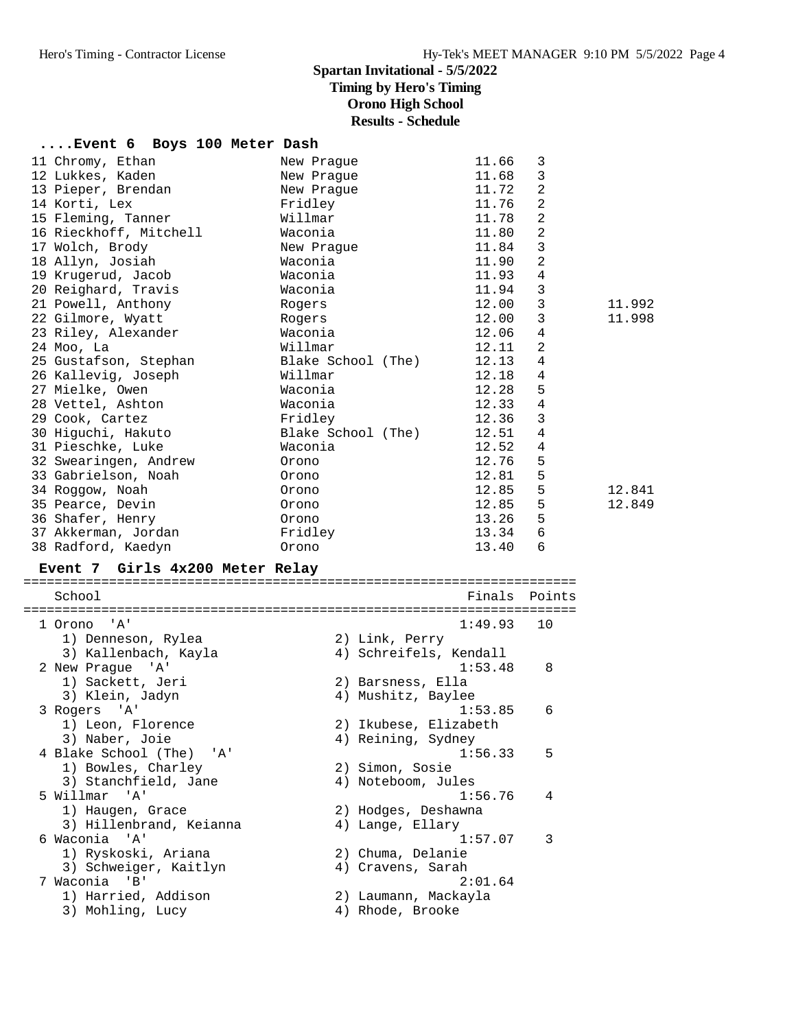# **....Event 6 Boys 100 Meter Dash**

| 11 Chromy, Ethan       | New Praque               | 11.66 | 3              |        |
|------------------------|--------------------------|-------|----------------|--------|
| 12 Lukkes, Kaden       | New Prague               | 11.68 | 3              |        |
| 13 Pieper, Brendan     | New Praque               | 11.72 | 2              |        |
| 14 Korti, Lex          | Fridley                  | 11.76 | $\overline{a}$ |        |
| 15 Fleming, Tanner     | Willmar                  | 11.78 | 2              |        |
| 16 Rieckhoff, Mitchell | Waconia                  | 11.80 | 2              |        |
| 17 Wolch, Brody        | New Praque               | 11.84 | 3              |        |
| 18 Allyn, Josiah       | Waconia                  | 11.90 | 2              |        |
| 19 Krugerud, Jacob     | Waconia                  | 11.93 | 4              |        |
| 20 Reighard, Travis    | Waconia                  | 11.94 | $\mathbf{3}$   |        |
| 21 Powell, Anthony     | Rogers                   | 12.00 | 3              | 11.992 |
| 22 Gilmore, Wyatt      | Rogers                   | 12.00 | 3              | 11.998 |
| 23 Riley, Alexander    | Waconia                  | 12.06 | $\overline{4}$ |        |
| 24 Моо, La             | Willmar                  | 12.11 | 2              |        |
| 25 Gustafson, Stephan  | Blake School (The) 12.13 |       | 4              |        |
| 26 Kallevig, Joseph    | Willmar                  | 12.18 | 4              |        |
| 27 Mielke, Owen        | Waconia                  | 12.28 | 5              |        |
| 28 Vettel, Ashton      | Waconia                  | 12.33 | 4              |        |
| 29 Cook, Cartez        | Fridley                  | 12.36 | 3              |        |
| 30 Higuchi, Hakuto     | Blake School (The) 12.51 |       | 4              |        |
| 31 Pieschke, Luke      | Waconia                  | 12.52 | 4              |        |
| 32 Swearingen, Andrew  | Orono                    | 12.76 | 5              |        |
| 33 Gabrielson, Noah    | Orono                    | 12.81 | 5              |        |
| 34 Roqqow, Noah        | Orono                    | 12.85 | 5              | 12.841 |
| 35 Pearce, Devin       | Orono                    | 12.85 | 5              | 12.849 |
| 36 Shafer, Henry       | Orono                    | 13.26 | 5              |        |
| 37 Akkerman, Jordan    | Fridley                  | 13.34 | 6              |        |
| 38 Radford, Kaedyn     | Orono                    | 13.40 | 6              |        |
|                        |                          |       |                |        |

# **Event 7 Girls 4x200 Meter Relay**

| School                   | Finals                 | Points |
|--------------------------|------------------------|--------|
| 1 Orono<br><b>A</b> '    | 1:49.93                | 1 O    |
| 1) Denneson, Rylea       | 2) Link, Perry         |        |
| 3) Kallenbach, Kayla     | 4) Schreifels, Kendall |        |
| 2 New Praque 'A'         | 1:53.48                | 8      |
| 1) Sackett, Jeri         | 2) Barsness, Ella      |        |
| 3) Klein, Jadyn          | 4) Mushitz, Baylee     |        |
| 3 Rogers 'A'             | 1:53.85                | 6      |
| 1) Leon, Florence        | 2) Ikubese, Elizabeth  |        |
| 3) Naber, Joie           | 4) Reining, Sydney     |        |
| 4 Blake School (The) 'A' | 1:56.33                | 5      |
| 1) Bowles, Charley       | 2) Simon, Sosie        |        |
| 3) Stanchfield, Jane     | 4) Noteboom, Jules     |        |
| 5 Willmar 'A'            | 1:56.76                | 4      |
| 1) Haugen, Grace         | 2) Hodges, Deshawna    |        |
| 3) Hillenbrand, Keianna  | 4) Lange, Ellary       |        |
| 6 Waconia 'A'            | 1:57.07                | 3      |
| 1) Ryskoski, Ariana      | 2) Chuma, Delanie      |        |
| 3) Schweiger, Kaitlyn    | 4) Cravens, Sarah      |        |
| 7 Waconia 'B'            | 2:01.64                |        |
| 1) Harried, Addison      | 2) Laumann, Mackayla   |        |
| 3) Mohling, Lucy         | 4) Rhode, Brooke       |        |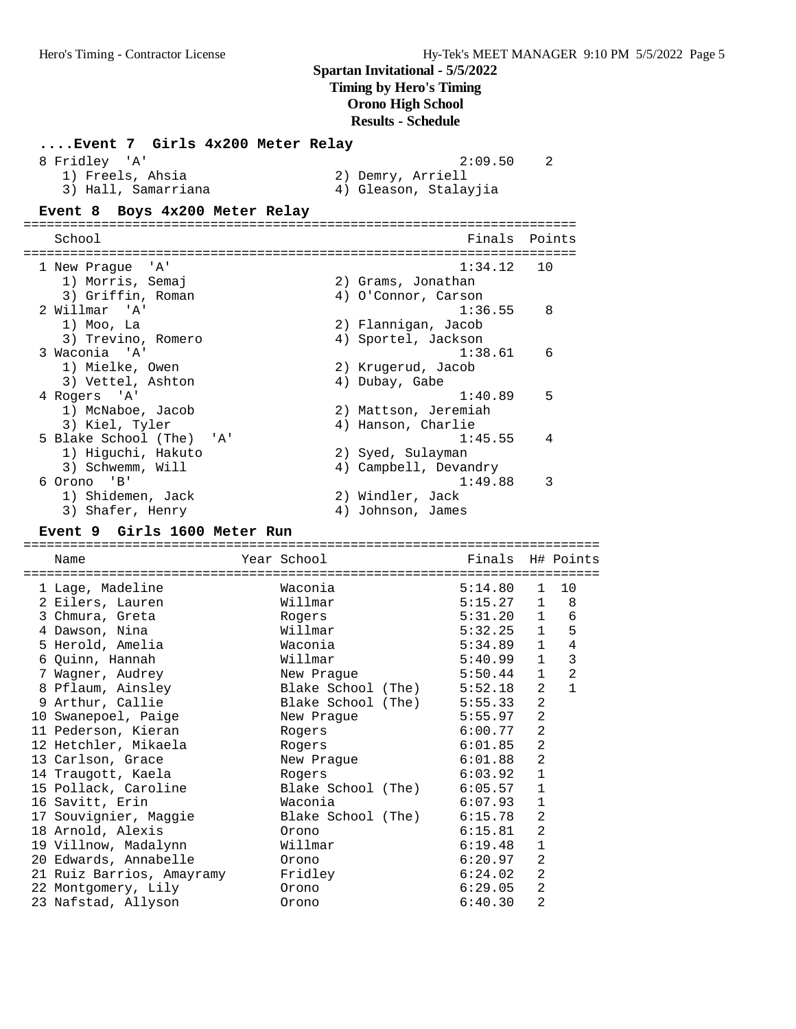| Event 7 Girls 4x200 Meter Relay<br>8 Fridley 'A'<br>1) Freels, Ahsia |                    | 2) Demry, Arriell | 2:09.50               | 2              |                |
|----------------------------------------------------------------------|--------------------|-------------------|-----------------------|----------------|----------------|
| 3) Hall, Samarriana                                                  |                    |                   | 4) Gleason, Stalayjia |                |                |
| Boys 4x200 Meter Relay<br>Event 8                                    |                    |                   |                       |                |                |
| School                                                               |                    |                   | Finals                |                | Points         |
|                                                                      |                    |                   |                       |                |                |
| $\overline{A}$<br>1 New Praque                                       |                    |                   | 1:34.12               | 10             |                |
| 1) Morris, Semaj                                                     |                    |                   | 2) Grams, Jonathan    |                |                |
| 3) Griffin, Roman                                                    |                    |                   | 4) O'Connor, Carson   |                |                |
| 2 Willmar 'A'                                                        |                    |                   | 1:36.55               | 8              |                |
| 1) Moo, La                                                           |                    |                   | 2) Flannigan, Jacob   |                |                |
| 3) Trevino, Romero                                                   |                    |                   | 4) Sportel, Jackson   |                |                |
| 3 Waconia<br>$^{\prime}$ A $^{\prime}$                               |                    |                   | 1:38.61               | 6              |                |
| 1) Mielke, Owen                                                      |                    |                   | 2) Krugerud, Jacob    |                |                |
| 3) Vettel, Ashton                                                    |                    | 4) Dubay, Gabe    |                       |                |                |
| 4 Rogers<br>' A '                                                    |                    |                   | 1:40.89               | 5              |                |
| 1) McNaboe, Jacob                                                    |                    |                   | 2) Mattson, Jeremiah  |                |                |
| 3) Kiel, Tyler                                                       |                    |                   | 4) Hanson, Charlie    |                |                |
| 5 Blake School (The)<br>'A'                                          |                    |                   | 1:45.55               | 4              |                |
| 1) Higuchi, Hakuto                                                   |                    | 2) Syed, Sulayman |                       |                |                |
| 3) Schwemm, Will                                                     |                    |                   | 4) Campbell, Devandry |                |                |
| 6 Orono 'B'                                                          |                    |                   | 1:49.88               | 3              |                |
| 1) Shidemen, Jack                                                    |                    | 2) Windler, Jack  |                       |                |                |
| 3) Shafer, Henry                                                     |                    | 4) Johnson, James |                       |                |                |
| Event 9 Girls 1600 Meter Run                                         |                    |                   |                       |                |                |
| Name                                                                 | Year School        |                   | Finals                |                | H# Points      |
|                                                                      |                    |                   |                       |                |                |
| 1 Lage, Madeline                                                     | Waconia            |                   | 5:14.80               | $\mathbf{1}$   | 10             |
| 2 Eilers, Lauren                                                     | Willmar            |                   | 5:15.27               | $\mathbf{1}$   | 8              |
| 3 Chmura, Greta                                                      | Rogers             |                   | 5:31.20               | 1              | 6              |
| 4 Dawson, Nina                                                       | Willmar            |                   | 5:32.25               | $\mathbf{1}$   | 5              |
| 5 Herold, Amelia                                                     | Waconia            |                   | 5:34.89               | 1              | $\overline{4}$ |
| 6 Quinn, Hannah                                                      | Willmar            |                   | 5:40.99               | $\mathbf{1}$   | 3              |
| 7 Wagner, Audrey                                                     | New Praque         |                   | 5:50.44               | $\mathbf{1}$   | 2              |
| 8 Pflaum, Ainsley                                                    | Blake School (The) |                   | 5:52.18               | 2              | $\mathbf{1}$   |
| 9 Arthur, Callie                                                     | Blake School (The) |                   | 5:55.33               | 2              |                |
| 10 Swanepoel, Paige                                                  | New Prague         |                   | 5:55.97               | 2              |                |
| 11 Pederson, Kieran                                                  | Rogers             |                   | 6:00.77               | 2              |                |
| 12 Hetchler, Mikaela                                                 | Rogers             |                   | 6:01.85               | $\overline{a}$ |                |
| 13 Carlson, Grace                                                    | New Prague         |                   | 6:01.88               | $\overline{2}$ |                |
| 14 Traugott, Kaela                                                   | Rogers             |                   | 6:03.92               | $\mathbf 1$    |                |
| 15 Pollack, Caroline                                                 | Blake School (The) |                   | 6:05.57               | 1              |                |
| 16 Savitt, Erin                                                      | Waconia            |                   | 6:07.93               | 1              |                |
| 17 Souvignier, Maggie                                                | Blake School (The) |                   | 6:15.78               | $\overline{2}$ |                |
| 18 Arnold, Alexis                                                    | Orono              |                   | 6:15.81               | $\overline{a}$ |                |
| 19 Villnow, Madalynn<br>20 Edwards, Annabelle                        | Willmar            |                   | 6:19.48               | 1              |                |
|                                                                      | Orono              |                   | 6:20.97<br>6:24.02    | 2<br>2         |                |
| 21 Ruiz Barrios, Amayramy<br>22 Montgomery, Lily                     | Fridley<br>Orono   |                   | 6:29.05               | 2              |                |
| 23 Nafstad, Allyson                                                  | Orono              |                   | 6:40.30               | $\overline{2}$ |                |
|                                                                      |                    |                   |                       |                |                |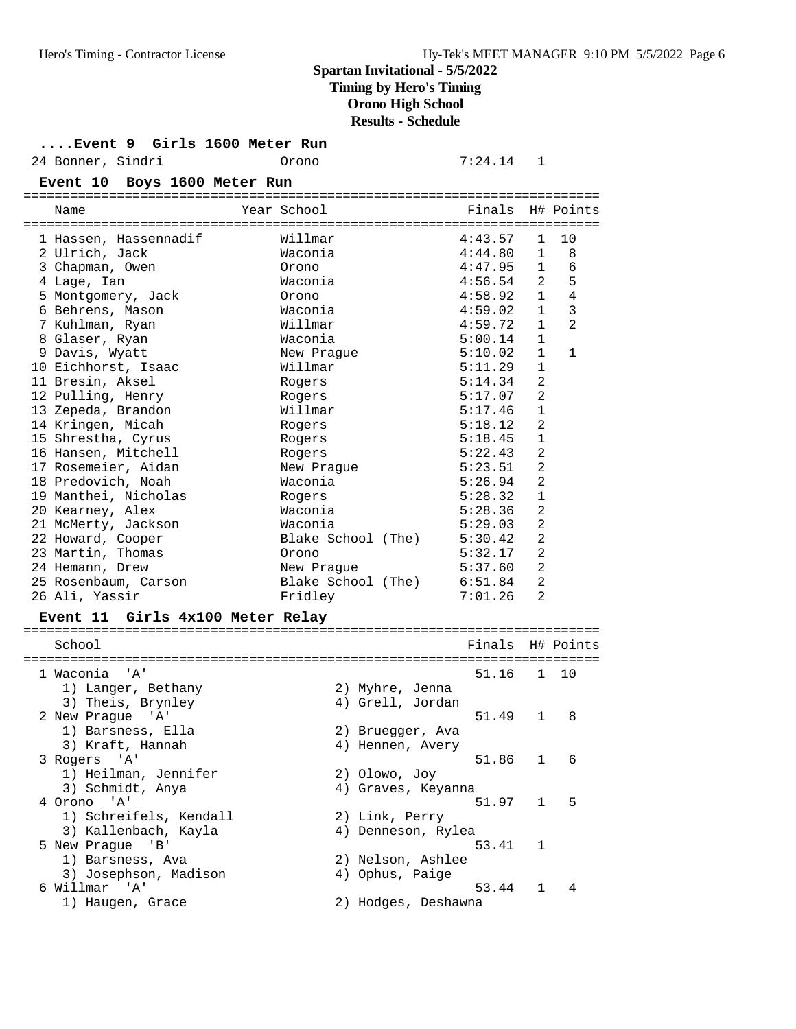### **....Event 9 Girls 1600 Meter Run**

24 Bonner, Sindri Orono 7:24.14 1

| Event 10 Boys 1600 Meter Run     |                     |                  |                |                |
|----------------------------------|---------------------|------------------|----------------|----------------|
| Name                             | Year School         | Finals H# Points |                |                |
| 1 Hassen, Hassennadif            | Willmar             | 4:43.57          | $\mathbf{1}$   | 10             |
| 2 Ulrich, Jack                   | Waconia             | 4:44.80          | $\mathbf{1}$   | 8              |
| 3 Chapman, Owen                  | Orono               | 4:47.95          | 1              | 6              |
| 4 Lage, Ian                      | Waconia             | 4:56.54          | 2              | 5              |
| 5 Montgomery, Jack               | Orono               | 4:58.92          | $\mathbf{1}$   | 4              |
| 6 Behrens, Mason                 | Waconia             | 4:59.02          | $\mathbf{1}$   | 3              |
| 7 Kuhlman, Ryan                  | Willmar             | 4:59.72          | $\mathbf{1}$   | 2              |
| 8 Glaser, Ryan                   | Waconia             | 5:00.14          | $\mathbf{1}$   |                |
| 9 Davis, Wyatt                   | New Prague          | 5:10.02          | $\mathbf{1}$   | $\mathbf{1}$   |
| 10 Eichhorst, Isaac              | Willmar             | 5:11.29          | 1              |                |
| 11 Bresin, Aksel                 | Rogers              | 5:14.34          | $\overline{2}$ |                |
| 12 Pulling, Henry                | Rogers              | 5:17.07          | 2              |                |
| 13 Zepeda, Brandon               | Willmar             | 5:17.46          | 1              |                |
| 14 Kringen, Micah                | Rogers              | 5:18.12          | 2              |                |
| 15 Shrestha, Cyrus               | Rogers              | 5:18.45          | $\mathbf{1}$   |                |
| 16 Hansen, Mitchell              | Rogers              | 5:22.43          | 2              |                |
| 17 Rosemeier, Aidan              | New Prague          | 5:23.51          | $\overline{2}$ |                |
| 18 Predovich, Noah               | Waconia             | 5:26.94          | $\overline{2}$ |                |
| 19 Manthei, Nicholas             | Rogers              | 5:28.32          | 1              |                |
| 20 Kearney, Alex                 | Waconia             | 5:28.36          | 2              |                |
| 21 McMerty, Jackson              | Waconia             | 5:29.03          | 2              |                |
| 22 Howard, Cooper                | Blake School (The)  | 5:30.42          | 2              |                |
| 23 Martin, Thomas                | Orono               | 5:32.17          | $\overline{2}$ |                |
| 24 Hemann, Drew                  | New Praque          | 5:37.60          | $\overline{a}$ |                |
| 25 Rosenbaum, Carson             | Blake School (The)  | 6:51.84          | $\overline{2}$ |                |
| 26 Ali, Yassir                   | Fridley             | 7:01.26          | 2              |                |
| Event 11 Girls 4x100 Meter Relay |                     |                  |                |                |
| School                           |                     | Finals H# Points |                |                |
| 1 Waconia<br>" A '               |                     | 51.16            | 1              | 10             |
| 1) Langer, Bethany               | 2) Myhre, Jenna     |                  |                |                |
| 3) Theis, Brynley                | 4) Grell, Jordan    |                  |                |                |
| 2 New Prague<br>'' A '           |                     | 51.49            | $\mathbf{1}$   | 8              |
| 1) Barsness, Ella                | 2) Bruegger, Ava    |                  |                |                |
| 3) Kraft, Hannah                 | 4) Hennen, Avery    |                  |                |                |
| 3 Rogers 'A'                     |                     | 51.86            | $\mathbf{1}$   | 6              |
| 1) Heilman, Jennifer             | 2) Olowo, Joy       |                  |                |                |
| 3) Schmidt, Anya                 | 4) Graves, Keyanna  |                  |                |                |
| 4 Orono 'A'                      |                     | 51.97            |                | 5<br>$1 \quad$ |
| 1) Schreifels, Kendall           | 2) Link, Perry      |                  |                |                |
| 3) Kallenbach, Kayla             | 4) Denneson, Rylea  |                  |                |                |
| 5 New Prague<br>'B'              |                     | 53.41            | 1              |                |
| 1) Barsness, Ava                 | 2) Nelson, Ashlee   |                  |                |                |
| 3) Josephson, Madison            | 4) Ophus, Paige     |                  |                |                |
| 6 Willmar 'A'                    |                     | 53.44            |                | 1 4            |
| 1) Haugen, Grace                 | 2) Hodges, Deshawna |                  |                |                |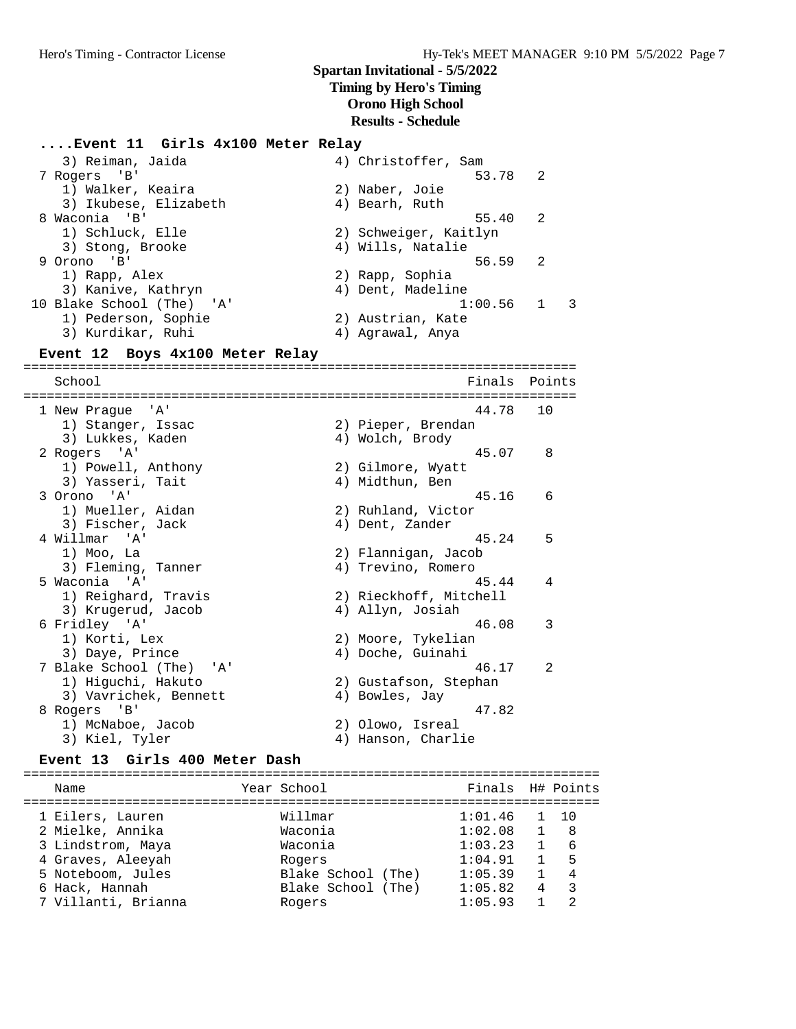#### **....Event 11 Girls 4x100 Meter Relay**

 3) Reiman, Jaida 4) Christoffer, Sam 7 Rogers 'B' 53.78 2 1) Walker, Keaira 2) Naber, Joie 3) Ikubese, Elizabeth (4) Bearh, Ruth 8 Waconia 'B' 55.40 2 1) Schluck, Elle 2) Schweiger, Kaitlyn 3) Stong, Brooke (4) Wills, Natalie 9 Orono 'B' 56.59 2 1) Rapp, Alex 2) Rapp, Sophia 3) Kanive, Kathryn 4) Dent, Madeline 10 Blake School (The) 'A' 1:00.56 1 3 1) Pederson, Sophie 2) Austrian, Kate 3) Kurdikar, Ruhi 4) Agrawal, Anya **Event 12 Boys 4x100 Meter Relay**

======================================================================= School **Finals** Points **Points** ======================================================================= 1 New Prague 'A' 44.78 10 1) Stanger, Issac 2) Pieper, Brendan 3) Lukkes, Kaden (4) Wolch, Brody 2 Rogers 'A' 45.07 8 1) Powell, Anthony 2) Gilmore, Wyatt 3) Yasseri, Tait (4) Midthun, Ben 3 Orono 'A' 45.16 6 1) Mueller, Aidan 2) Ruhland, Victor 3) Fischer, Jack (4) Dent, Zander 4 Willmar 'A' 45.24 5 1) Moo, La 2) Flannigan, Jacob 3) Fleming, Tanner (4) Trevino, Romero 5 Waconia 'A' 45.44 4 1) Reighard, Travis 2) Rieckhoff, Mitchell 3) Krugerud, Jacob 4) Allyn, Josiah 6 Fridley 'A' 46.08 3 1) Korti, Lex 2) Moore, Tykelian 3) Daye, Prince (4) Doche, Guinahi 7 Blake School (The) 'A' 46.17 2 1) Higuchi, Hakuto 2) Gustafson, Stephan 3) Vavrichek, Bennett (4) Bowles, Jay 8 Rogers 'B' 47.82 1) McNaboe, Jacob 2) Olowo, Isreal 3) Kiel, Tyler (4) Hanson, Charlie

#### **Event 13 Girls 400 Meter Dash**

========================================================================== Name Year School Finals H# Points ========================================================================== 1 Eilers, Lauren Willmar 1:01.46 1 10 2 Mielke, Annika Waconia 1:02.08 1 8 3 Lindstrom, Maya Waconia 1:03.23 1 6 4 Graves, Aleeyah Rogers 1:04.91 1 5 5 Noteboom, Jules Blake School (The) 1:05.39 1 4 6 Hack, Hannah Blake School (The) 1:05.82 4 3 7 Villanti, Brianna Rogers 1:05.93 1 2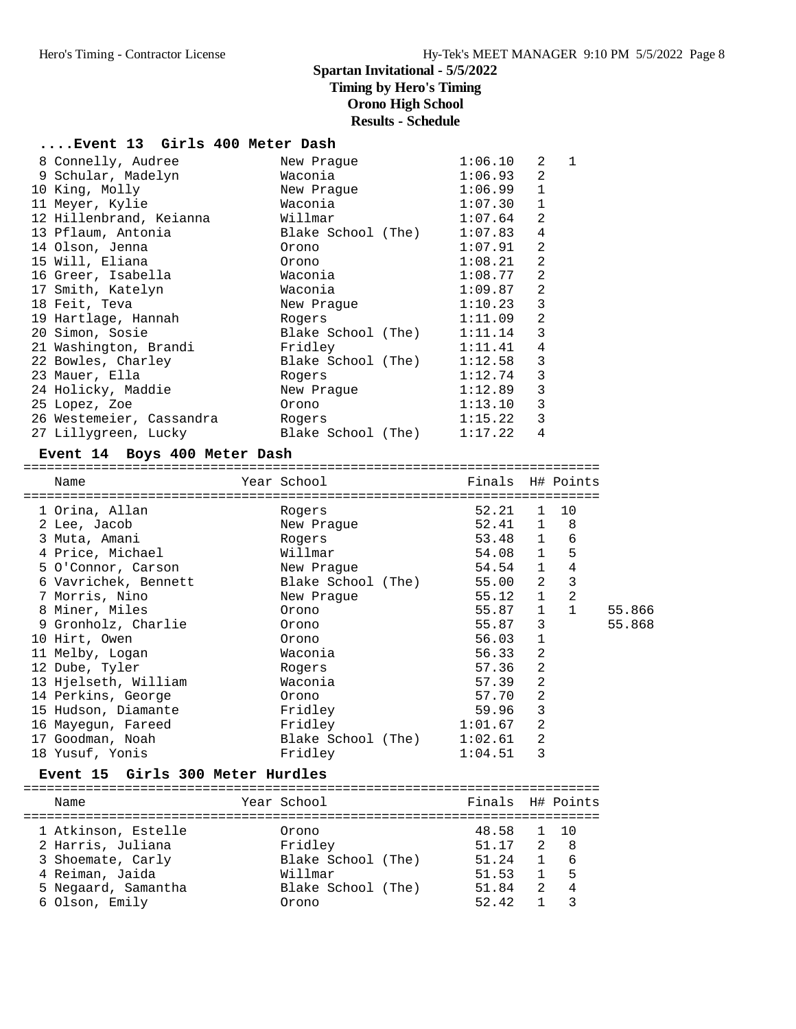# **....Event 13 Girls 400 Meter Dash**

| 8 Connelly, Audree       | New Praque                   | 1:06.10 | 2              | $\mathbf{1}$ |
|--------------------------|------------------------------|---------|----------------|--------------|
| 9 Schular, Madelyn       | Waconia                      | 1:06.93 | 2              |              |
| 10 King, Molly           | New Praque                   | 1:06.99 | $\mathbf{1}$   |              |
| 11 Meyer, Kylie          | Waconia                      | 1:07.30 | $\mathbf{1}$   |              |
| 12 Hillenbrand, Keianna  | Willmar                      | 1:07.64 | 2              |              |
| 13 Pflaum, Antonia       | Blake School (The)           | 1:07.83 | $\overline{4}$ |              |
| 14 Olson, Jenna          | Orono                        | 1:07.91 | $\overline{2}$ |              |
| 15 Will, Eliana          | Orono                        | 1:08.21 | $\overline{2}$ |              |
| 16 Greer, Isabella       | Waconia                      | 1:08.77 | 2              |              |
| 17 Smith, Katelyn        | Waconia                      | 1:09.87 | $\overline{a}$ |              |
| 18 Feit, Teva            | New Praque                   | 1:10.23 | $\overline{3}$ |              |
| 19 Hartlage, Hannah      | Rogers                       | 1:11.09 | $\overline{2}$ |              |
| 20 Simon, Sosie          | Blake School (The) $1:11.14$ |         | 3              |              |
| 21 Washington, Brandi    | Fridley                      | 1:11.41 | $\overline{4}$ |              |
| 22 Bowles, Charley       | Blake School (The)           | 1:12.58 | 3              |              |
| 23 Mauer, Ella           | Rogers                       | 1:12.74 | 3              |              |
| 24 Holicky, Maddie       | New Praque                   | 1:12.89 | 3              |              |
| 25 Lopez, Zoe            | Orono                        | 1:13.10 | $\mathsf 3$    |              |
| 26 Westemeier, Cassandra | Rogers                       | 1:15.22 | $\mathbf{3}$   |              |
| 27 Lillygreen, Lucky     | Blake School (The)           | 1:17.22 | $\overline{4}$ |              |

#### **Event 14 Boys 400 Meter Dash**

==========================================================================

| Name                          | Year School          | Finals H# Points |                |             |        |
|-------------------------------|----------------------|------------------|----------------|-------------|--------|
| 1 Orina, Allan                | Rogers               | 52.21<br>52.41 1 |                | 1 10<br>- 8 |        |
| 2 Lee, Jacob<br>3 Muta, Amani | New Praque<br>Rogers | 53.48 1          |                | 6           |        |
| 4 Price, Michael              | Willmar              | 54.08 1          |                | 5           |        |
| 5 O'Connor, Carson            | New Praque           | 54.54 1          |                | 4           |        |
| 6 Vavrichek, Bennett          | Blake School (The)   | 55.00            | 2              | 3           |        |
| 7 Morris, Nino                | New Praque           | 55.12 1          |                | 2           |        |
| 8 Miner, Miles                | Orono                | 55.87            | $\mathbf{1}$   |             | 55.866 |
| 9 Gronholz, Charlie           | Orono                | 55.87            | 3              |             | 55.868 |
| 10 Hirt, Owen                 | Orono                | 56.03            | $\mathbf{1}$   |             |        |
| 11 Melby, Logan               | Waconia              | 56.33            | $\overline{2}$ |             |        |
| 12 Dube, Tyler                | Rogers               | 57.36            | 2              |             |        |
| 13 Hjelseth, William          | Waconia              | 57.39            | 2              |             |        |
| 14 Perkins, George            | Orono                | 57.70            | 2              |             |        |
| 15 Hudson, Diamante           | Fridley              | 59.96            | 3              |             |        |
| 16 Mayequn, Fareed            | Fridley              | 1:01.67          | $\overline{2}$ |             |        |
| 17 Goodman, Noah              | Blake School (The)   | 1:02.61          | $\overline{2}$ |             |        |
| 18 Yusuf, Yonis               | Fridley              | 1:04.51          | 3              |             |        |
|                               |                      |                  |                |             |        |

#### **Event 15 Girls 300 Meter Hurdles**

==========================================================================

| Name                                     | Year School        | Finals H# Points        |              |                |
|------------------------------------------|--------------------|-------------------------|--------------|----------------|
| 1 Atkinson, Estelle<br>2 Harris, Juliana | Orono<br>Fridley   | 48.58 1 10<br>51.17 2 8 |              |                |
| 3 Shoemate, Carly                        | Blake School (The) | 51.24                   | $\mathbf{1}$ | 6              |
| 4 Reiman, Jaida                          | Willmar            | 51.53                   | $\sim$ 1     | - 5            |
| 5 Negaard, Samantha                      | Blake School (The) | 51.84                   | $2^{\circ}$  | $\overline{4}$ |
| 6 Olson, Emily                           | Orono              | 52.42                   |              |                |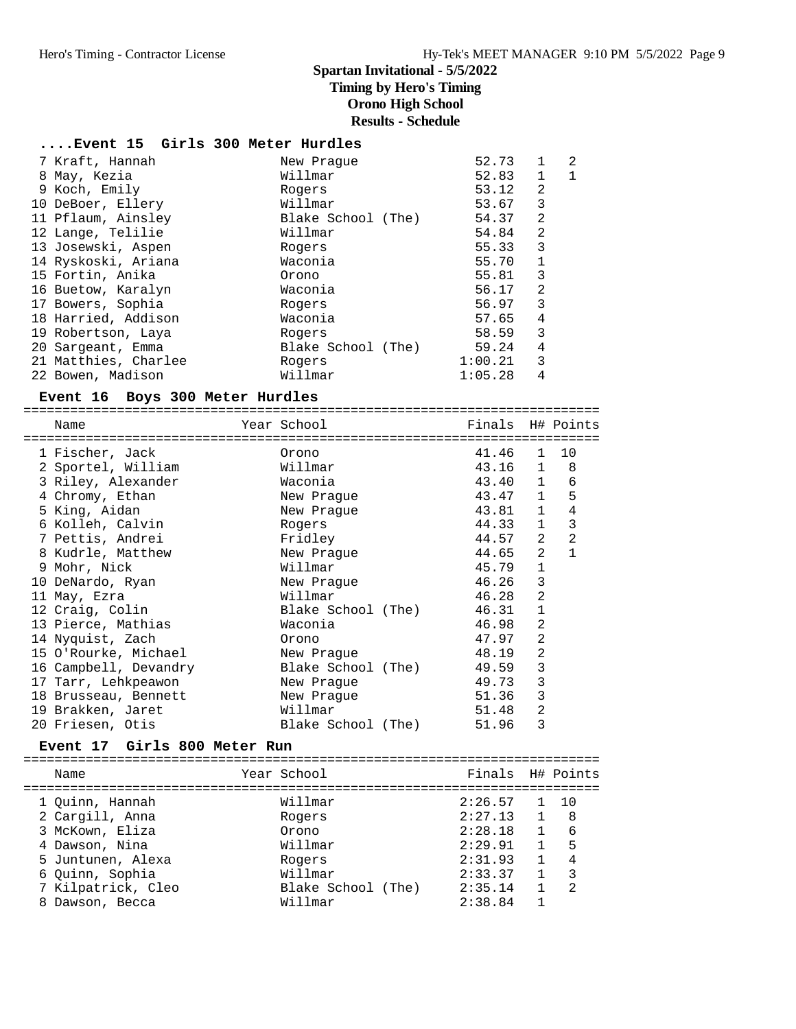### **....Event 15 Girls 300 Meter Hurdles**

| 7 Kraft, Hannah      | New Praque         | 52.73   | $\mathbf{1}$   | 2  |
|----------------------|--------------------|---------|----------------|----|
| 8 May, Kezia         | Willmar            | 52.83   | $\mathbf{1}$   | -1 |
| 9 Koch, Emily        | Rogers             | 53.12   | $\overline{2}$ |    |
| 10 DeBoer, Ellery    | Willmar            | 53.67   | 3              |    |
| 11 Pflaum, Ainsley   | Blake School (The) | 54.37   | 2              |    |
| 12 Lange, Telilie    | Willmar            | 54.84   | $\overline{2}$ |    |
| 13 Josewski, Aspen   | Rogers             | 55.33   | 3              |    |
| 14 Ryskoski, Ariana  | Waconia            | 55.70   | $\mathbf{1}$   |    |
| 15 Fortin, Anika     | Orono              | 55.81   | 3              |    |
| 16 Buetow, Karalyn   | Waconia            | 56.17   | 2              |    |
| 17 Bowers, Sophia    | Rogers             | 56.97   | 3              |    |
| 18 Harried, Addison  | Waconia            | 57.65   | 4              |    |
| 19 Robertson, Laya   | Rogers             | 58.59   | 3              |    |
| 20 Sargeant, Emma    | Blake School (The) | 59.24   | 4              |    |
| 21 Matthies, Charlee | Rogers             | 1:00.21 | 3              |    |
| 22 Bowen, Madison    | Willmar            | 1:05.28 | 4              |    |

#### **Event 16 Boys 300 Meter Hurdles**

| Name                  | Year School and the School and the School | ------------ | Finals H# Points<br>=== |                |                |
|-----------------------|-------------------------------------------|--------------|-------------------------|----------------|----------------|
| 1 Fischer, Jack       | Orono                                     |              | 41.46                   | $\mathbf{1}$   | 10             |
| 2 Sportel, William    | Willmar                                   |              | 43.16 1 8               |                |                |
| 3 Riley, Alexander    | Waconia                                   |              | 43.40 1                 |                | 6              |
| 4 Chromy, Ethan       | New Praque                                |              | 43.47 1                 |                | 5              |
| 5 King, Aidan         | New Praque                                |              | 43.81                   | $\mathbf{1}$   | $\overline{4}$ |
| 6 Kolleh, Calvin      | Rogers                                    |              | 44.33 1                 |                | 3              |
| 7 Pettis, Andrei      | Fridley                                   |              | 44.57                   | 2              | 2              |
| 8 Kudrle, Matthew     | New Prague                                |              | 44.65                   | 2              | $\mathbf{1}$   |
| 9 Mohr, Nick          | Willmar                                   |              | 45.79                   | $\mathbf{1}$   |                |
| 10 DeNardo, Ryan      | New Praque                                |              | 46.26                   | 3              |                |
| 11 May, Ezra          | Willmar                                   |              | 46.28                   | $\overline{2}$ |                |
| 12 Craig, Colin       | Blake School (The)                        |              | 46.31                   | $\mathbf{1}$   |                |
| 13 Pierce, Mathias    | Waconia                                   |              | 46.98                   | 2              |                |
| 14 Nyquist, Zach      | Orono                                     |              | 47.97                   | $\overline{2}$ |                |
| 15 O'Rourke, Michael  | New Prague                                |              | 48.19                   | $\overline{2}$ |                |
| 16 Campbell, Devandry | Blake School (The)                        |              | 49.59                   | 3              |                |
| 17 Tarr, Lehkpeawon   | New Praque                                |              | 49.73                   | 3              |                |
| 18 Brusseau, Bennett  | New Praque                                |              | 51.36                   | 3              |                |
| 19 Brakken, Jaret     | Willmar                                   |              | 51.48                   | $\overline{2}$ |                |
| 20 Friesen, Otis      | Blake School (The)                        |              | 51.96                   | 3              |                |

**Event 17 Girls 800 Meter Run** ==========================================================================

| Name               |                    |             |                  |
|--------------------|--------------------|-------------|------------------|
| 1 Quinn, Hannah    | Willmar            | 2:26.57     | $1 \quad 10$     |
| 2 Cargill, Anna    | Rogers             | 2:27.13     | - 8              |
| 3 McKown, Eliza    | Orono              | 2:28.18     | 6                |
| 4 Dawson, Nina     | Willmar            | 2:29.91     | 5                |
| 5 Juntunen, Alexa  | Rogers             | 2:31.93     | 4                |
| 6 Ouinn, Sophia    | Willmar            | 2:33.37     | 3                |
| 7 Kilpatrick, Cleo | Blake School (The) | 2:35.14     | 2                |
| Dawson, Becca      | Willmar            | 2:38.84     |                  |
|                    |                    | Year School | Finals H# Points |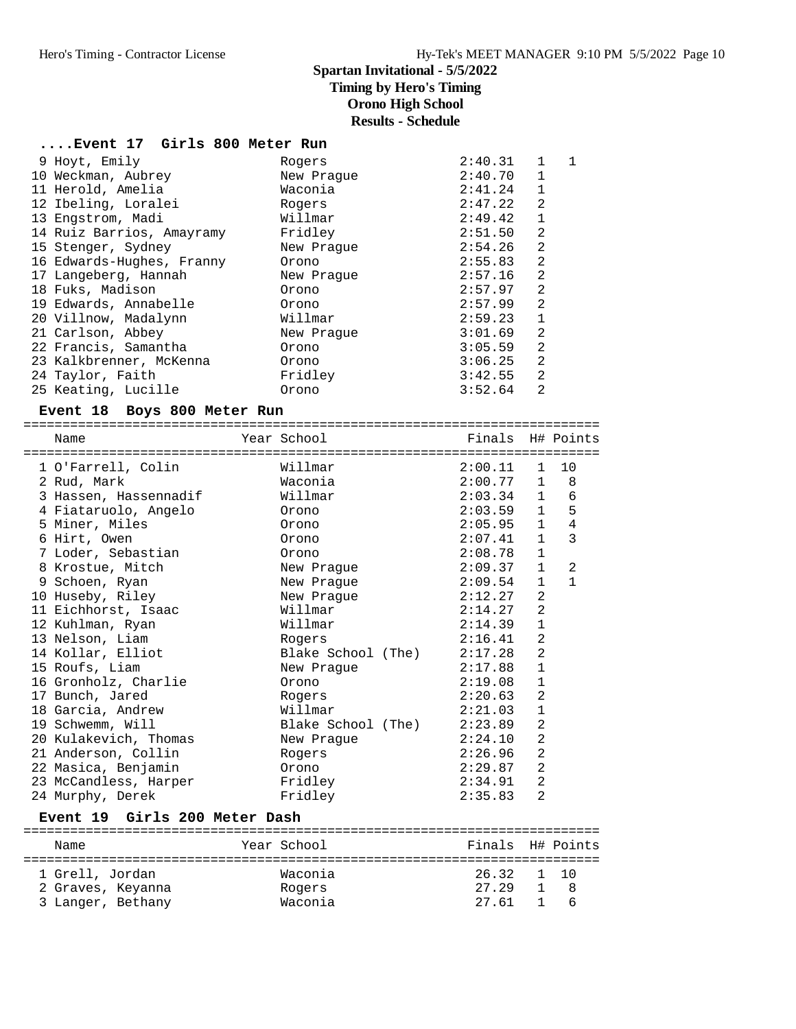**....Event 17 Girls 800 Meter Run**

| 9 Hoyt, Emily             | Rogers     | 2:40.31 | 1              | 1 |
|---------------------------|------------|---------|----------------|---|
| 10 Weckman, Aubrey        | New Praque | 2:40.70 | 1              |   |
| 11 Herold, Amelia         | Waconia    | 2:41.24 | $\mathbf{1}$   |   |
| 12 Ibeling, Loralei       | Rogers     | 2:47.22 | 2              |   |
| 13 Engstrom, Madi         | Willmar    | 2:49.42 | $\mathbf{1}$   |   |
| 14 Ruiz Barrios, Amayramy | Fridley    | 2:51.50 | 2              |   |
| 15 Stenger, Sydney        | New Praque | 2:54.26 | $\overline{2}$ |   |
| 16 Edwards-Hughes, Franny | Orono      | 2:55.83 | 2              |   |
| 17 Langeberg, Hannah      | New Praque | 2:57.16 | 2              |   |
| 18 Fuks, Madison          | Orono      | 2:57.97 | $\overline{2}$ |   |
| 19 Edwards, Annabelle     | Orono      | 2:57.99 | $\overline{2}$ |   |
| 20 Villnow, Madalynn      | Willmar    | 2:59.23 | $\mathbf{1}$   |   |
| 21 Carlson, Abbey         | New Praque | 3:01.69 | $\overline{2}$ |   |
| 22 Francis, Samantha      | Orono      | 3:05.59 | 2              |   |
| 23 Kalkbrenner, McKenna   | Orono      | 3:06.25 | $\overline{2}$ |   |
| 24 Taylor, Faith          | Fridley    | 3:42.55 | 2              |   |
| 25 Keating, Lucille       | Orono      | 3:52.64 | $\overline{2}$ |   |

### **Event 18 Boys 800 Meter Run**

==========================================================================

| Name                  | Year School        | Finals H# Points |                |                |
|-----------------------|--------------------|------------------|----------------|----------------|
|                       |                    |                  |                |                |
| 1 O'Farrell, Colin    | Willmar            | $2:00.11$ 1 10   |                |                |
| 2 Rud, Mark           | Waconia            | 2:00.77          | $\mathbf{1}$   | 8              |
| 3 Hassen, Hassennadif | Willmar            | $2:03.34$ 1      |                | 6              |
| 4 Fiataruolo, Angelo  | Orono              | 2:03.59          | $\mathbf{1}$   | 5              |
| 5 Miner, Miles        | Orono              | 2:05.95          | $\mathbf{1}$   | $\overline{4}$ |
| 6 Hirt, Owen          | Orono              | 2:07.41          | $\mathbf{1}$   | 3              |
| 7 Loder, Sebastian    | Orono              | 2:08.78          | $\mathbf{1}$   |                |
| 8 Krostue, Mitch      | New Prague         | 2:09.37          | $\mathbf{1}$   | $\mathfrak{D}$ |
| 9 Schoen, Ryan        | New Praque         | 2:09.54          | $\mathbf{1}$   | $\mathbf{1}$   |
| 10 Huseby, Riley      | New Praque         | 2:12.27          | $\mathfrak{D}$ |                |
| 11 Eichhorst, Isaac   | Willmar            | 2:14.27          | 2              |                |
| 12 Kuhlman, Ryan      | Willmar            | 2:14.39          | $\mathbf{1}$   |                |
| 13 Nelson, Liam       | Rogers             | 2:16.41          | 2              |                |
| 14 Kollar, Elliot     | Blake School (The) | 2:17.28          | 2              |                |
| 15 Roufs, Liam        | New Praque         | 2:17.88          | $\mathbf{1}$   |                |
| 16 Gronholz, Charlie  | Orono              | 2:19.08          | $\mathbf{1}$   |                |
| 17 Bunch, Jared       | Rogers             | 2:20.63          | 2              |                |
| 18 Garcia, Andrew     | Willmar            | 2:21.03          | $\mathbf{1}$   |                |
| 19 Schwemm, Will      | Blake School (The) | 2:23.89          | 2              |                |
| 20 Kulakevich, Thomas | New Praque         | 2:24.10          | $\overline{a}$ |                |
| 21 Anderson, Collin   | Rogers             | 2:26.96          | 2              |                |
| 22 Masica, Benjamin   | Orono              | 2:29.87          | 2              |                |
| 23 McCandless, Harper | Fridley            | 2:34.91          | $\overline{a}$ |                |
| 24 Murphy, Derek      | Fridley            | 2:35.83          | $\overline{2}$ |                |

### **Event 19 Girls 200 Meter Dash**

| Name                                                      | Year School                  | Finals H# Points                      |     |
|-----------------------------------------------------------|------------------------------|---------------------------------------|-----|
| 1 Grell, Jordan<br>2 Graves, Keyanna<br>3 Langer, Bethany | Waconia<br>Rogers<br>Waconia | 26.32 1 10<br>27.29<br>1 8<br>27.61 1 | - 6 |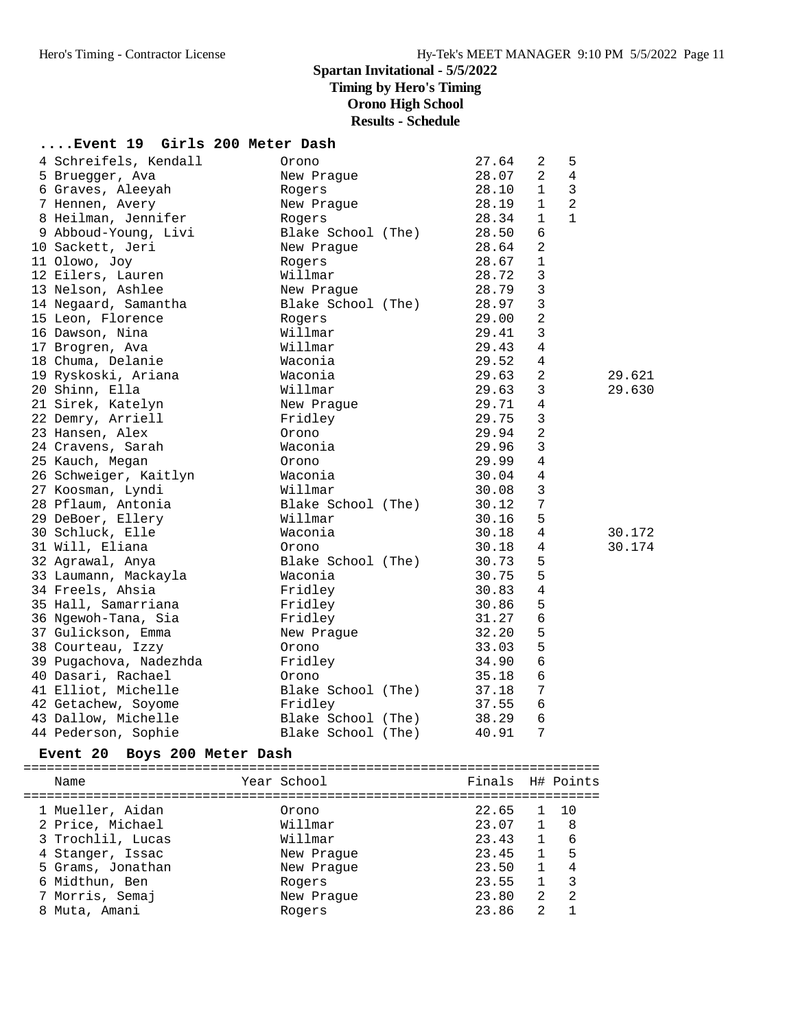### **Spartan Invitational - 5/5/2022 Timing by Hero's Timing Orono High School**

**Results - Schedule**

| Event 19 Girls 200 Meter Dash |  |  |  |  |
|-------------------------------|--|--|--|--|
|-------------------------------|--|--|--|--|

| 4 Schreifels, Kendall  | Orono              | 27.64 | 2              | 5              |        |
|------------------------|--------------------|-------|----------------|----------------|--------|
| 5 Bruegger, Ava        | New Prague         | 28.07 | $\overline{2}$ | 4              |        |
| 6 Graves, Aleeyah      | Rogers             | 28.10 | $\mathbf{1}$   | 3              |        |
| 7 Hennen, Avery        | New Prague         | 28.19 | $\mathbf{1}$   | $\overline{2}$ |        |
| 8 Heilman, Jennifer    | Rogers             | 28.34 | $\mathbf{1}$   | $\mathbf{1}$   |        |
| 9 Abboud-Young, Livi   | Blake School (The) | 28.50 | 6              |                |        |
| 10 Sackett, Jeri       | New Praque         | 28.64 | $\overline{2}$ |                |        |
| 11 Olowo, Joy          | Rogers             | 28.67 | $\mathbf 1$    |                |        |
| 12 Eilers, Lauren      | Willmar            | 28.72 | 3              |                |        |
| 13 Nelson, Ashlee      | New Praque         | 28.79 | $\mathbf{3}$   |                |        |
| 14 Negaard, Samantha   | Blake School (The) | 28.97 | $\mathbf{3}$   |                |        |
| 15 Leon, Florence      | Rogers             | 29.00 | $\overline{a}$ |                |        |
| 16 Dawson, Nina        | Willmar            | 29.41 | 3              |                |        |
| 17 Brogren, Ava        | Willmar            | 29.43 | 4              |                |        |
| 18 Chuma, Delanie      | Waconia            | 29.52 | $\overline{4}$ |                |        |
| 19 Ryskoski, Ariana    | Waconia            | 29.63 | 2              |                | 29.621 |
| 20 Shinn, Ella         | Willmar            | 29.63 | 3              |                | 29.630 |
| 21 Sirek, Katelyn      | New Praque         | 29.71 | 4              |                |        |
| 22 Demry, Arriell      | Fridley            | 29.75 | $\mathbf{3}$   |                |        |
| 23 Hansen, Alex        | Orono              | 29.94 | $\overline{2}$ |                |        |
| 24 Cravens, Sarah      | Waconia            | 29.96 | $\mathbf{3}$   |                |        |
| 25 Kauch, Megan        | Orono              | 29.99 | $\overline{4}$ |                |        |
| 26 Schweiger, Kaitlyn  | Waconia            | 30.04 | $\overline{4}$ |                |        |
| 27 Koosman, Lyndi      | Willmar            | 30.08 | 3              |                |        |
| 28 Pflaum, Antonia     | Blake School (The) | 30.12 | 7              |                |        |
| 29 DeBoer, Ellery      | Willmar            | 30.16 | 5              |                |        |
| 30 Schluck, Elle       | Waconia            | 30.18 | $\overline{4}$ |                | 30.172 |
| 31 Will, Eliana        | Orono              | 30.18 | 4              |                | 30.174 |
| 32 Agrawal, Anya       | Blake School (The) | 30.73 | 5              |                |        |
| 33 Laumann, Mackayla   | Waconia            | 30.75 | 5              |                |        |
| 34 Freels, Ahsia       | Fridley            | 30.83 | 4              |                |        |
| 35 Hall, Samarriana    | Fridley            | 30.86 | 5              |                |        |
| 36 Ngewoh-Tana, Sia    | Fridley            | 31.27 | 6              |                |        |
| 37 Gulickson, Emma     | New Prague         | 32.20 | 5              |                |        |
| 38 Courteau, Izzy      | Orono              | 33.03 | 5              |                |        |
| 39 Pugachova, Nadezhda | Fridley            | 34.90 | 6              |                |        |
| 40 Dasari, Rachael     | Orono              | 35.18 | $\epsilon$     |                |        |
| 41 Elliot, Michelle    | Blake School (The) | 37.18 | $\sqrt{ }$     |                |        |
| 42 Getachew, Soyome    | Fridley            | 37.55 | 6              |                |        |
| 43 Dallow, Michelle    | Blake School (The) | 38.29 | 6              |                |        |
| 44 Pederson, Sophie    | Blake School (The) | 40.91 | 7              |                |        |
|                        |                    |       |                |                |        |

#### **Event 20 Boys 200 Meter Dash**

========================================================================== Name The School Team School (The Points H# Points ========================================================================== 1 Mueller, Aidan Orono 22.65 1 10 2 Price, Michael Willmar 23.07 1 8 3 Trochlil, Lucas Willmar 23.43 1 6 4 Stanger, Issac New Prague 23.45 1 5 5 Grams, Jonathan New Prague 23.50 1 4 6 Midthun, Ben Rogers 23.55 1 3 7 Morris, Semaj New Prague 23.80 2 2 8 Muta, Amani Rogers 23.86 2 1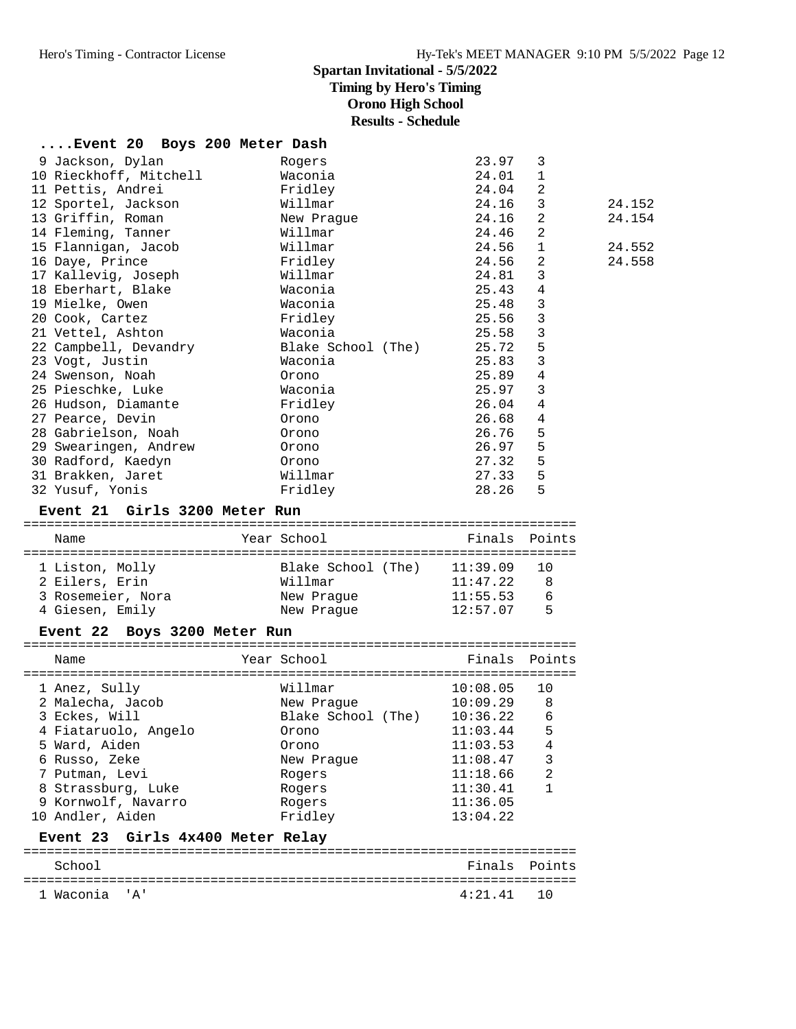# **Spartan Invitational - 5/5/2022**

**Timing by Hero's Timing**

**Orono High School**

**Results - Schedule**

| Event 20 Boys 200 Meter Dash     |                                        |                      |                |        |
|----------------------------------|----------------------------------------|----------------------|----------------|--------|
| 9 Jackson, Dylan                 | Rogers                                 | 23.97                | 3              |        |
| 10 Rieckhoff, Mitchell           | Waconia                                | 24.01                | $\mathbf{1}$   |        |
| 11 Pettis, Andrei                | Fridley                                | 24.04                | 2              |        |
| 12 Sportel, Jackson              | Willmar                                | 24.16                | 3              | 24.152 |
| 13 Griffin, Roman                | New Prague                             | 24.16                | 2              | 24.154 |
| 14 Fleming, Tanner               | Willmar                                | 24.46                | 2              |        |
| 15 Flannigan, Jacob              | Willmar                                | 24.56                | 1              | 24.552 |
| 16 Daye, Prince                  | Fridley                                | 24.56                | 2              | 24.558 |
| 17 Kallevig, Joseph              | Willmar                                | 24.81                | 3              |        |
| 18 Eberhart, Blake               | Waconia                                | 25.43                | 4              |        |
| 19 Mielke, Owen                  | Waconia                                | 25.48                | 3              |        |
| 20 Cook, Cartez                  | Fridley                                | 25.56                | 3              |        |
| 21 Vettel, Ashton                | Waconia                                | 25.58                | 3              |        |
| 22 Campbell, Devandry            | Blake School (The)                     | 25.72                | 5              |        |
| 23 Vogt, Justin                  | Waconia                                | 25.83                | 3              |        |
| 24 Swenson, Noah                 | Orono                                  | 25.89                | $\overline{4}$ |        |
| 25 Pieschke, Luke                | Waconia                                | 25.97                | 3              |        |
| 26 Hudson, Diamante              | Fridley                                | 26.04                | 4              |        |
| 27 Pearce, Devin                 | Orono                                  | 26.68                | 4              |        |
| 28 Gabrielson, Noah              | Orono                                  | 26.76                | 5              |        |
| 29 Swearingen, Andrew            | Orono                                  | 26.97                | 5              |        |
| 30 Radford, Kaedyn               | Orono                                  | 27.32                | 5              |        |
| 31 Brakken, Jaret                | Willmar                                | 27.33                | 5              |        |
| 32 Yusuf, Yonis                  | Fridley                                | 28.26                | 5              |        |
| Event 21 Girls 3200 Meter Run    |                                        |                      |                |        |
|                                  |                                        |                      |                |        |
|                                  |                                        |                      |                |        |
| Name                             | Year School                            | Finals Points        |                |        |
|                                  |                                        |                      |                |        |
| 1 Liston, Molly                  | Blake School (The) 11:39.09<br>Willmar |                      | 10<br>8        |        |
| 2 Eilers, Erin                   |                                        | 11:47.22             |                |        |
| 3 Rosemeier, Nora                | New Prague                             | 11:55.53<br>12:57.07 | 6<br>5         |        |
| 4 Giesen, Emily                  | New Prague                             |                      |                |        |
| Event 22 Boys 3200 Meter Run     |                                        |                      |                |        |
| Name                             | Year School                            | Finals               | Points         |        |
|                                  |                                        |                      |                |        |
| 1 Anez, Sully                    | Willmar                                | 10:08.05             | 10             |        |
| 2 Malecha, Jacob                 | New Prague                             | 10:09.29             | 8              |        |
| 3 Eckes, Will                    | Blake School (The) 10:36.22 6          |                      |                |        |
| 4 Fiataruolo, Angelo             | Orono                                  | 11:03.44             | 5              |        |
| 5 Ward, Aiden                    | Orono                                  | 11:03.53             | 4              |        |
| 6 Russo, Zeke                    | New Prague                             | 11:08.47             | 3              |        |
| 7 Putman, Levi                   | Rogers                                 | 11:18.66             | 2              |        |
| 8 Strassburg, Luke               | Rogers                                 | 11:30.41             | $\mathbf{1}$   |        |
| 9 Kornwolf, Navarro              | Rogers                                 | 11:36.05             |                |        |
| 10 Andler, Aiden                 | Fridley                                | 13:04.22             |                |        |
| Event 23 Girls 4x400 Meter Relay |                                        |                      |                |        |
| School                           |                                        | Finals Points        |                |        |
| 1 Waconia 'A'                    |                                        | 4:21.41              | 10             |        |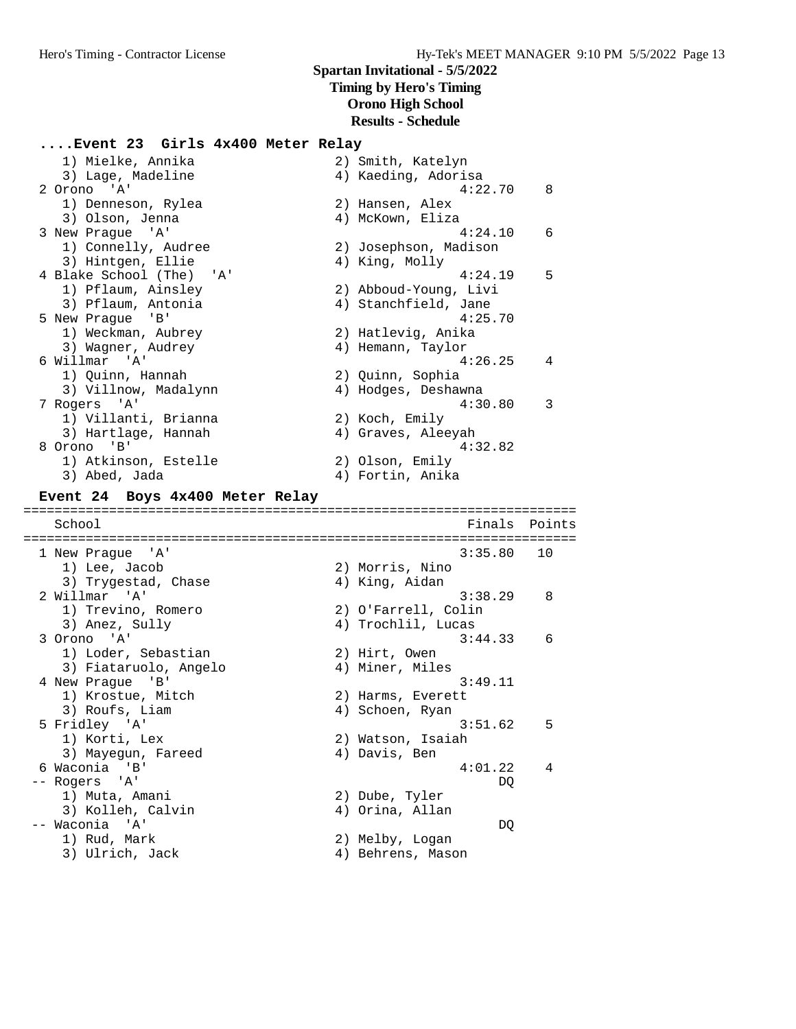# **....Event 23 Girls 4x400 Meter Relay**

| 1) Mielke, Annika                   | 2) Smith, Katelyn                    |        |
|-------------------------------------|--------------------------------------|--------|
| 3) Lage, Madeline                   | 4) Kaeding, Adorisa                  |        |
| 2 Orono 'A'                         | 4:22.70                              | 8      |
| 1) Denneson, Rylea                  | 2) Hansen, Alex                      |        |
| 3) Olson, Jenna                     | 4) McKown, Eliza                     |        |
| 3 New Prague 'A'                    | 4:24.10                              | 6      |
| 1) Connelly, Audree                 | 2) Josephson, Madison                |        |
| 3) Hintgen, Ellie                   | 4) King, Molly                       |        |
| 4 Blake School (The)<br>'' A '      | 4:24.19                              | 5      |
| 1) Pflaum, Ainsley                  | 2) Abboud-Young, Livi                |        |
| 3) Pflaum, Antonia                  | 4) Stanchfield, Jane                 |        |
| 5 New Prague 'B'                    | 4:25.70                              |        |
| 1) Weckman, Aubrey                  | 2) Hatlevig, Anika                   |        |
| 3) Wagner, Audrey                   | 4) Hemann, Taylor                    |        |
| 6 Willmar<br>' A'                   | 4:26.25                              | 4      |
|                                     |                                      |        |
| 1) Quinn, Hannah                    | 2) Quinn, Sophia                     |        |
| 3) Villnow, Madalynn                | 4) Hodges, Deshawna                  |        |
| 7 Rogers 'A'                        | 4:30.80                              | 3      |
| 1) Villanti, Brianna                | 2) Koch, Emily                       |        |
| 3) Hartlage, Hannah                 | 4) Graves, Aleeyah                   |        |
| 8 Orono 'B'                         | 4:32.82                              |        |
| 1) Atkinson, Estelle                | 2) Olson, Emily                      |        |
| 3) Abed, Jada                       | 4) Fortin, Anika                     |        |
| Event 24 Boys 4x400 Meter Relay     |                                      |        |
|                                     |                                      |        |
|                                     |                                      |        |
|                                     |                                      | Points |
| School                              | Finals                               |        |
|                                     |                                      |        |
| 1 New Prague 'A'                    | 3:35.80                              | 10     |
| 1) Lee, Jacob                       | 2) Morris, Nino                      |        |
| 3) Trygestad, Chase                 | 4) King, Aidan                       |        |
| 2 Willmar<br>' A '                  | 3:38.29                              | 8      |
| 1) Trevino, Romero                  | 2) O'Farrell, Colin                  |        |
| 3) Anez, Sully                      | 4) Trochlil, Lucas                   |        |
| 3 Orono 'A'                         | 3:44.33                              | 6      |
| 1) Loder, Sebastian                 | 2) Hirt, Owen                        |        |
| 3) Fiataruolo, Angelo               | 4) Miner, Miles                      |        |
| 4 New Prague<br>'B'                 | 3:49.11                              |        |
| 1) Krostue, Mitch                   | 2) Harms, Everett                    |        |
| 3) Roufs, Liam                      | 4) Schoen, Ryan                      |        |
| 5 Fridley 'A'                       | 3:51.62                              | 5      |
| 1) Korti, Lex                       | 2) Watson, Isaiah                    |        |
| 3) Mayegun, Fareed                  | 4) Davis, Ben                        |        |
|                                     | 4:01.22                              | 4      |
| 6 Waconia 'B'<br>-- Rogers<br>' A ' | DQ                                   |        |
|                                     |                                      |        |
| 1) Muta, Amani                      | 2) Dube, Tyler                       |        |
| 3) Kolleh, Calvin                   | 4) Orina, Allan                      |        |
| -- Waconia 'A'                      | DQ                                   |        |
| 1) Rud, Mark<br>3) Ulrich, Jack     | 2) Melby, Logan<br>4) Behrens, Mason |        |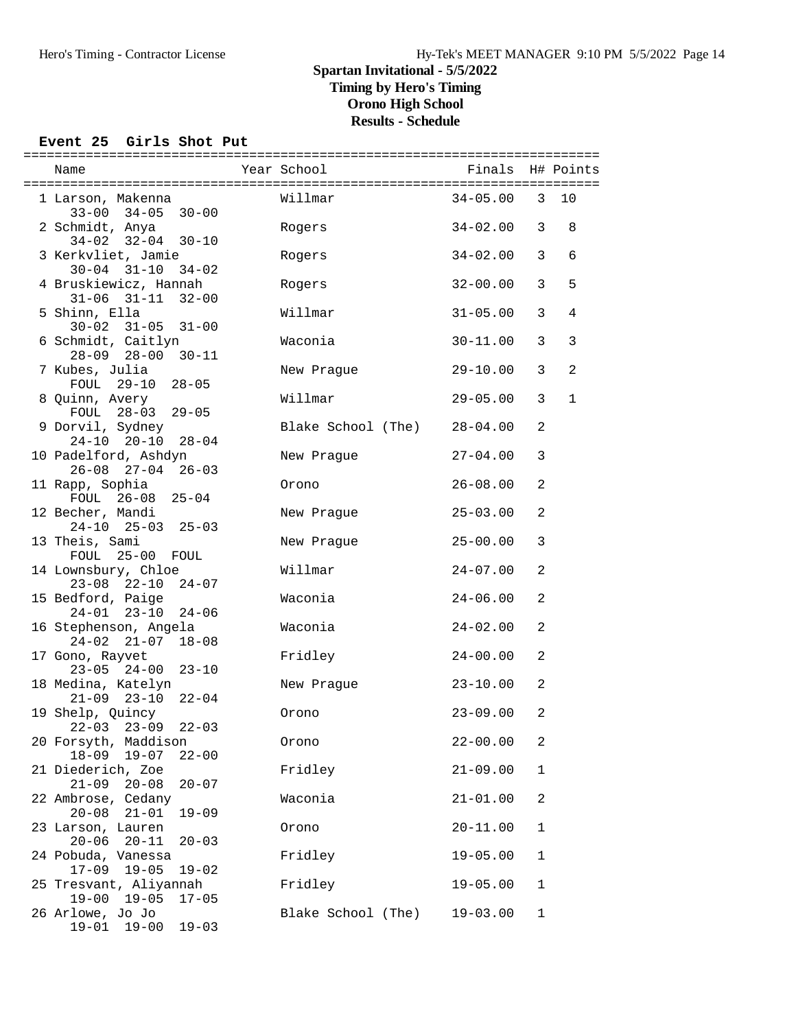### **Event 25 Girls Shot Put**

| Name                                         |                         | Year School        | Finals       |                | H# Points      |
|----------------------------------------------|-------------------------|--------------------|--------------|----------------|----------------|
|                                              |                         |                    |              |                |                |
| 1 Larson, Makenna                            | $33-00$ $34-05$ $30-00$ | Willmar            | $34 - 05.00$ | $\mathbf{3}$   | 10             |
| 2 Schmidt, Anya                              | $34-02$ $32-04$ $30-10$ | Rogers             | 34-02.00     | 3              | 8              |
| 3 Kerkvliet, Jamie                           |                         | Rogers             | $34 - 02.00$ | 3              | 6              |
| $30 - 04$ $31 - 10$<br>4 Bruskiewicz, Hannah | $34 - 02$               | Rogers             | $32 - 00.00$ | 3              | 5              |
| 5 Shinn, Ella                                | $31-06$ $31-11$ $32-00$ | Willmar            | $31 - 05.00$ | 3              | 4              |
| 6 Schmidt, Caitlyn                           | $30-02$ $31-05$ $31-00$ | Waconia            | $30 - 11.00$ | 3              | $\mathbf{3}$   |
|                                              | 28-09 28-00 30-11       |                    |              |                |                |
| 7 Kubes, Julia                               | FOUL 29-10 28-05        | New Praque         | $29 - 10.00$ | 3              | $\overline{a}$ |
| 8 Quinn, Avery                               | FOUL 28-03 29-05        | Willmar            | $29 - 05.00$ | 3              | $\mathbf{1}$   |
| 9 Dorvil, Sydney                             |                         | Blake School (The) | $28 - 04.00$ | 2              |                |
| $24-10$ $20-10$<br>10 Padelford, Ashdyn      | $28 - 04$               | New Praque         | $27 - 04.00$ | 3              |                |
| 11 Rapp, Sophia                              | $26-08$ $27-04$ $26-03$ | Orono              | $26 - 08.00$ | 2              |                |
| 12 Becher, Mandi                             | FOUL 26-08 25-04        | New Prague         | $25 - 03.00$ | 2              |                |
|                                              | $24-10$ $25-03$ $25-03$ |                    |              |                |                |
| 13 Theis, Sami<br>FOUL 25-00 FOUL            |                         | New Prague         | $25 - 00.00$ | 3              |                |
| 14 Lownsbury, Chloe                          | $23-08$ $22-10$ $24-07$ | Willmar            | $24 - 07.00$ | $\overline{a}$ |                |
| 15 Bedford, Paige                            |                         | Waconia            | $24 - 06.00$ | $\overline{a}$ |                |
| $24 - 01$ $23 - 10$<br>16 Stephenson, Angela | 24-06                   | Waconia            | $24 - 02.00$ | 2              |                |
| 17 Gono, Rayvet                              | $24-02$ $21-07$ $18-08$ | Fridley            | $24 - 00.00$ | 2              |                |
|                                              | $23-05$ $24-00$ $23-10$ |                    |              |                |                |
| 18 Medina, Katelyn                           | $21-09$ $23-10$ $22-04$ | New Prague         | $23 - 10.00$ | 2              |                |
| 19 Shelp, Quincy<br>$22 - 03$ $23 - 09$      | $22 - 03$               | Orono              | $23 - 09.00$ | 2              |                |
| 20 Forsyth, Maddison                         |                         | Orono              | $22 - 00.00$ | 2              |                |
| $18 - 09$<br>21 Diederich, Zoe               | $19 - 07$<br>$22 - 00$  | Fridley            | $21 - 09.00$ | $\mathbf 1$    |                |
| $21 - 09$<br>22 Ambrose, Cedany              | $20 - 08$<br>$20 - 07$  | Waconia            | $21 - 01.00$ | 2              |                |
| $20 - 08$                                    | $21 - 01$<br>$19 - 09$  |                    |              |                |                |
| 23 Larson, Lauren<br>$20 - 06$               | $20 - 11$<br>$20 - 03$  | Orono              | $20 - 11.00$ | 1              |                |
| 24 Pobuda, Vanessa<br>$17 - 09$              | $19 - 05$<br>$19 - 02$  | Fridley            | $19 - 05.00$ | $\mathbf 1$    |                |
| 25 Tresvant, Aliyannah<br>$19 - 00$          | $19 - 05$<br>$17 - 05$  | Fridley            | $19 - 05.00$ | 1              |                |
| 26 Arlowe, Jo Jo                             |                         | Blake School (The) | $19 - 03.00$ | 1              |                |
| $19 - 00$<br>$19 - 01$                       | $19 - 03$               |                    |              |                |                |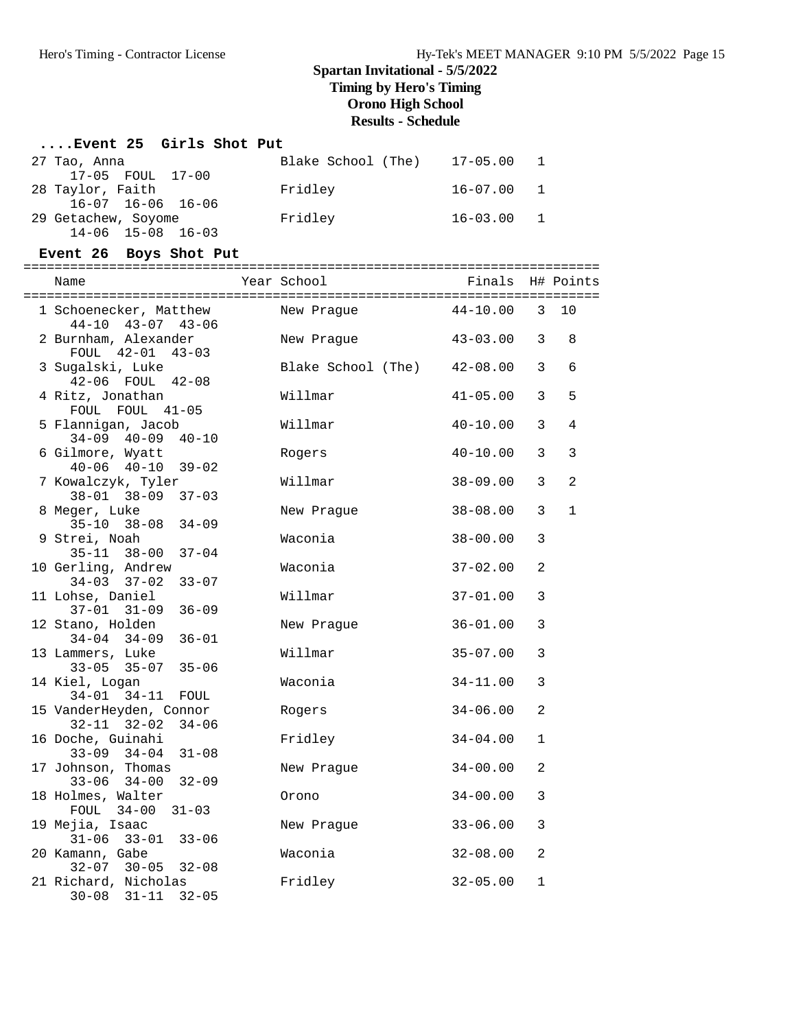### **....Event 25 Girls Shot Put**

| 27 Tao, Anna                  | Blake School (The) | 17-05.00       |                |
|-------------------------------|--------------------|----------------|----------------|
| 17-05 FOUL 17-00              |                    |                |                |
| 28 Taylor, Faith              | Fridley            | $16 - 07.00 1$ |                |
| $16 - 07$ $16 - 06$ $16 - 06$ |                    |                |                |
| 29 Getachew, Soyome           | Fridley            | 16-03.00       | $\overline{1}$ |
| $14 - 06$ $15 - 08$ $16 - 03$ |                    |                |                |

### **Event 26 Boys Shot Put**

| Name                                                     | Year School                 | Finals         |                | H# Points      |
|----------------------------------------------------------|-----------------------------|----------------|----------------|----------------|
|                                                          |                             |                |                |                |
| 1 Schoenecker, Matthew<br>44-10 43-07 43-06              | New Praque                  | $44 - 10.00$ 3 |                | 10             |
| 2 Burnham, Alexander                                     | New Praque                  | $43 - 03.00$   | 3              | 8              |
| FOUL 42-01 43-03                                         |                             |                |                |                |
| 3 Sugalski, Luke                                         | Blake School (The) 42-08.00 |                | 3              | 6              |
| 42-06 FOUL 42-08<br>4 Ritz, Jonathan                     | Willmar                     | $41 - 05.00$   | 3              | 5              |
| FOUL FOUL 41-05                                          |                             |                |                |                |
| 5 Flannigan, Jacob                                       | Willmar                     | $40 - 10.00$   | 3              | 4              |
| $34 - 09$ $40 - 09$<br>$40 - 10$                         |                             |                |                |                |
| 6 Gilmore, Wyatt<br>$40-06$ $40-10$ $39-02$              | Rogers                      | $40 - 10.00$   | 3              | 3              |
| 7 Kowalczyk, Tyler                                       | Willmar                     | $38 - 09.00$   | 3              | $\overline{a}$ |
| $38 - 01$ $38 - 09$<br>$37 - 03$                         |                             |                |                |                |
| 8 Meger, Luke                                            | New Praque                  | $38 - 08.00$   | 3              | $\mathbf{1}$   |
| $35-10$ $38-08$ $34-09$                                  |                             |                |                |                |
| 9 Strei, Noah<br>$35 - 11$ $38 - 00$<br>$37 - 04$        | Waconia                     | $38 - 00.00$   | 3              |                |
| 10 Gerling, Andrew                                       | Waconia                     | $37 - 02.00$   | $\overline{a}$ |                |
| $34 - 03$ $37 - 02$<br>$33 - 07$                         |                             |                |                |                |
| 11 Lohse, Daniel                                         | Willmar                     | $37 - 01.00$   | 3              |                |
| $36 - 09$<br>$37 - 01$ $31 - 09$                         |                             |                |                |                |
| 12 Stano, Holden<br>$36 - 01$<br>$34 - 04$ $34 - 09$     | New Praque                  | $36 - 01.00$   | 3              |                |
| 13 Lammers, Luke                                         | Willmar                     | $35 - 07.00$   | 3              |                |
| $33 - 05$ $35 - 07$<br>$35 - 06$                         |                             |                |                |                |
| 14 Kiel, Logan                                           | Waconia                     | $34 - 11.00$   | 3              |                |
| $34 - 01$ $34 - 11$<br>FOUL<br>15 VanderHeyden, Connor   |                             | $34 - 06.00$   | $\overline{a}$ |                |
| $32 - 11$ $32 - 02$<br>$34 - 06$                         | Rogers                      |                |                |                |
| 16 Doche, Guinahi                                        | Fridley                     | $34 - 04.00$   | $\mathbf{1}$   |                |
| $33 - 09$ $34 - 04$<br>$31 - 08$                         |                             |                |                |                |
| 17 Johnson, Thomas                                       | New Prague                  | $34 - 00.00$   | 2              |                |
| $33 - 06$ $34 - 00$<br>$32 - 09$<br>18 Holmes, Walter    | Orono                       | $34 - 00.00$   | 3              |                |
| FOUL 34-00<br>$31 - 03$                                  |                             |                |                |                |
| 19 Mejia, Isaac                                          | New Prague                  | $33 - 06.00$   | 3              |                |
| $31 - 06$ $33 - 01$ $33 - 06$                            |                             |                |                |                |
| 20 Kamann, Gabe                                          | Waconia                     | $32 - 08.00$   | 2              |                |
| $32 - 07$ $30 - 05$<br>$32 - 08$<br>21 Richard, Nicholas | Fridley                     | $32 - 05.00$   | 1              |                |
| $30 - 08$ $31 - 11$<br>$32 - 05$                         |                             |                |                |                |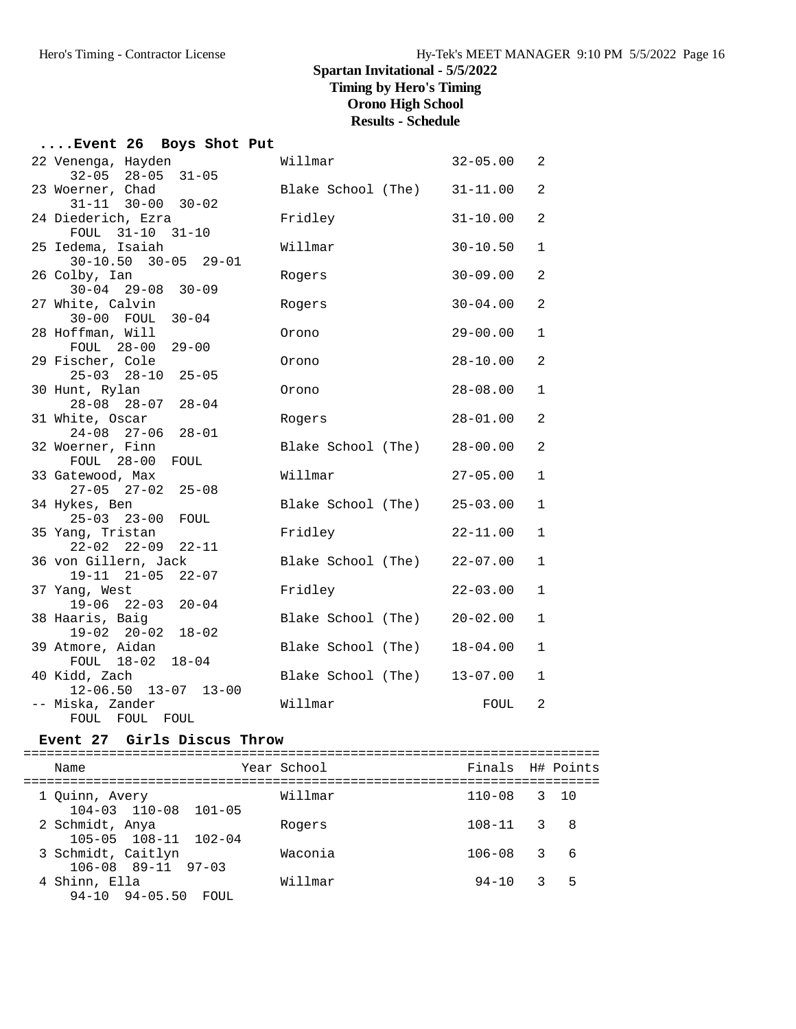| Event 26 Boys Shot Put                      |                             |              |                            |
|---------------------------------------------|-----------------------------|--------------|----------------------------|
| 22 Venenga, Hayden                          | Willmar                     | $32 - 05.00$ | $\overline{\phantom{0}}^2$ |
| $32 - 05$ $28 - 05$<br>$31 - 05$            |                             |              |                            |
| 23 Woerner, Chad                            | Blake School (The) 31-11.00 |              | 2                          |
| $31 - 11$ $30 - 00$ $30 - 02$               |                             |              |                            |
| 24 Diederich, Ezra                          | Fridley                     | $31 - 10.00$ | $\overline{a}$             |
| FOUL 31-10 31-10                            |                             |              |                            |
| 25 Iedema, Isaiah                           | Willmar                     | $30 - 10.50$ | $\mathbf{1}$               |
| $30-10.50$ $30-05$ $29-01$<br>26 Colby, Ian |                             | $30 - 09.00$ | $\overline{a}$             |
| $30 - 04$ 29-08 30-09                       | Rogers                      |              |                            |
| 27 White, Calvin                            | Rogers                      | $30 - 04.00$ | $\overline{a}$             |
| 30-00 FOUL 30-04                            |                             |              |                            |
| 28 Hoffman, Will                            | Orono                       | $29 - 00.00$ | $\mathbf{1}$               |
| FOUL 28-00 29-00                            |                             |              |                            |
| 29 Fischer, Cole                            | Orono                       | $28 - 10.00$ | $\overline{a}$             |
| 25-03 28-10 25-05                           |                             | $28 - 08.00$ | $\mathbf 1$                |
| 30 Hunt, Rylan<br>$28 - 04$<br>28-08 28-07  | Orono                       |              |                            |
| 31 White, Oscar                             | Rogers                      | $28 - 01.00$ | 2                          |
| $24 - 08$ 27-06<br>$28 - 01$                |                             |              |                            |
| 32 Woerner, Finn                            | Blake School (The)          | $28 - 00.00$ | $\overline{a}$             |
| FOUL 28-00 FOUL                             |                             |              |                            |
| 33 Gatewood, Max                            | Willmar                     | $27 - 05.00$ | $\mathbf{1}$               |
| $27-05$ $27-02$ $25-08$<br>34 Hykes, Ben    | Blake School (The) 25-03.00 |              | $\mathbf{1}$               |
| $25 - 03$ $23 - 00$<br>FOUL                 |                             |              |                            |
| 35 Yang, Tristan                            | Fridley                     | $22 - 11.00$ | $\mathbf{1}$               |
| $22 - 02$ $22 - 09$ $22 - 11$               |                             |              |                            |
| 36 von Gillern, Jack                        | Blake School (The) 22-07.00 |              | $\mathbf 1$                |
| $22 - 07$<br>19-11 21-05                    |                             |              |                            |
| 37 Yang, West                               | Fridley                     | $22 - 03.00$ | $\mathbf{1}$               |
| $19-06$ $22-03$ $20-04$<br>38 Haaris, Baig  | Blake School (The) 20-02.00 |              | $\mathbf 1$                |
| $19 - 02$ $20 - 02$<br>$18 - 02$            |                             |              |                            |
| 39 Atmore, Aidan                            | Blake School (The)          | $18 - 04.00$ | $\mathbf{1}$               |
| FOUL 18-02 18-04                            |                             |              |                            |
| 40 Kidd, Zach                               | Blake School (The) 13-07.00 |              | $\mathbf{1}$               |
| $12 - 06.50$ $13 - 07$ $13 - 00$            |                             |              |                            |
| -- Miska, Zander                            | Willmar                     | FOUL         | 2                          |
| FOUL FOUL<br>FOUL                           |                             |              |                            |

#### **Event 27 Girls Discus Throw**

========================================================================== Name The Year School The Finals H# Points ========================================================================== 1 Quinn, Avery Willmar 110-08 3 10 104-03 110-08 101-05 2 Schmidt, Anya Rogers 108-11 3 8 105-05 108-11 102-04 3 Schmidt, Caitlyn Waconia 106-08 3 6 106-08 89-11 97-03 4 Shinn, Ella Willmar 94-10 3 5 94-10 94-05.50 FOUL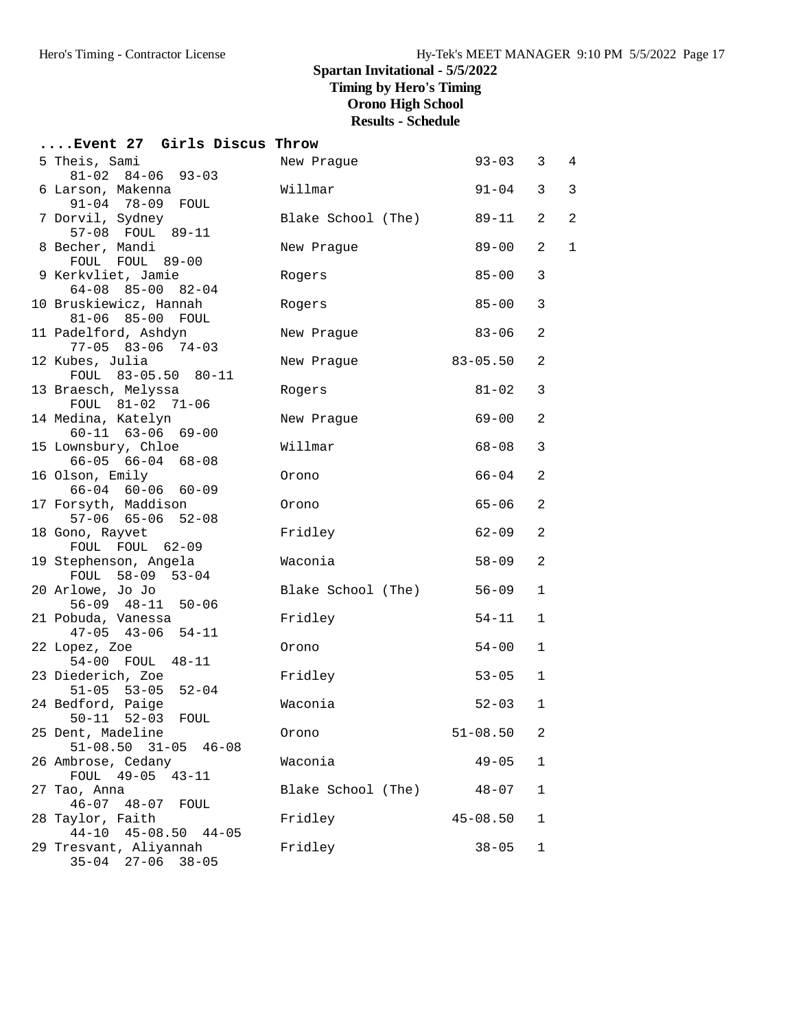| Event 27 Girls Discus Throw                            |                    |              |                |                |
|--------------------------------------------------------|--------------------|--------------|----------------|----------------|
| 5 Theis, Sami<br>$81-02$ $84-06$ $93-03$               | New Praque         | $93 - 03$    | 3              | $\overline{4}$ |
| 6 Larson, Makenna<br>91-04 78-09 FOUL                  | Willmar            | $91 - 04$    | $\mathsf{3}$   | 3              |
| 7 Dorvil, Sydney<br>57-08 FOUL 89-11                   | Blake School (The) | $89 - 11$    | 2              | 2              |
| 8 Becher, Mandi<br>FOUL FOUL 89-00                     | New Prague         | $89 - 00$    | $\overline{2}$ | $\mathbf{1}$   |
| 9 Kerkvliet, Jamie<br>$64-08$ $85-00$ $82-04$          | Rogers             | $85 - 00$    | 3              |                |
| 10 Bruskiewicz, Hannah<br>81-06 85-00 FOUL             | Rogers             | $85 - 00$    | 3              |                |
| 11 Padelford, Ashdyn<br>$77-05$ 83-06 74-03            | New Prague         | $83 - 06$    | 2              |                |
| 12 Kubes, Julia<br>FOUL 83-05.50 80-11                 | New Prague         | $83 - 05.50$ | $\overline{a}$ |                |
| 13 Braesch, Melyssa<br>FOUL 81-02 71-06                | Rogers             | $81 - 02$    | 3              |                |
| 14 Medina, Katelyn<br>$60 - 11$ $63 - 06$ $69 - 00$    | New Prague         | $69 - 00$    | 2              |                |
| 15 Lownsbury, Chloe<br>$66 - 05$ $66 - 04$ $68 - 08$   | Willmar            | $68 - 08$    | 3              |                |
| 16 Olson, Emily<br>$66 - 04$ $60 - 06$ $60 - 09$       | Orono              | $66 - 04$    | 2              |                |
| 17 Forsyth, Maddison<br>57-06 65-06 52-08              | Orono              | $65 - 06$    | $\overline{a}$ |                |
| 18 Gono, Rayvet<br>FOUL FOUL 62-09                     | Fridley            | $62 - 09$    | $\overline{a}$ |                |
| 19 Stephenson, Angela<br>FOUL 58-09 53-04              | Waconia            | $58 - 09$    | 2              |                |
| 20 Arlowe, Jo Jo<br>56-09 48-11 50-06                  | Blake School (The) | $56 - 09$    | $\mathbf 1$    |                |
| 21 Pobuda, Vanessa<br>$47-05$ $43-06$ $54-11$          | Fridley            | $54 - 11$    | $\mathbf 1$    |                |
| 22 Lopez, Zoe<br>54-00 FOUL 48-11                      | Orono              | $54 - 00$    | 1              |                |
| 23 Diederich, Zoe<br>$51-05$ $53-05$ $52-04$           | Fridley            | $53 - 05$    | 1              |                |
| 24 Bedford, Paige<br>50-11 52-03 FOUL                  | Waconia            | $52 - 03$    | 1              |                |
| 25 Dent, Madeline<br>$51-08.50$ $31-05$ $46-08$        | Orono              | $51 - 08.50$ | 2              |                |
| 26 Ambrose, Cedany<br>FOUL 49-05 43-11                 | Waconia            | $49 - 05$    | 1              |                |
| 27 Tao, Anna<br>$46 - 07$ $48 - 07$<br>FOUL            | Blake School (The) | $48 - 07$    | 1              |                |
| 28 Taylor, Faith<br>$44-10$ $45-08.50$<br>$44 - 05$    | Fridley            | $45 - 08.50$ | 1              |                |
| 29 Tresvant, Aliyannah<br>$35 - 04$ 27-06<br>$38 - 05$ | Fridley            | $38 - 05$    | 1              |                |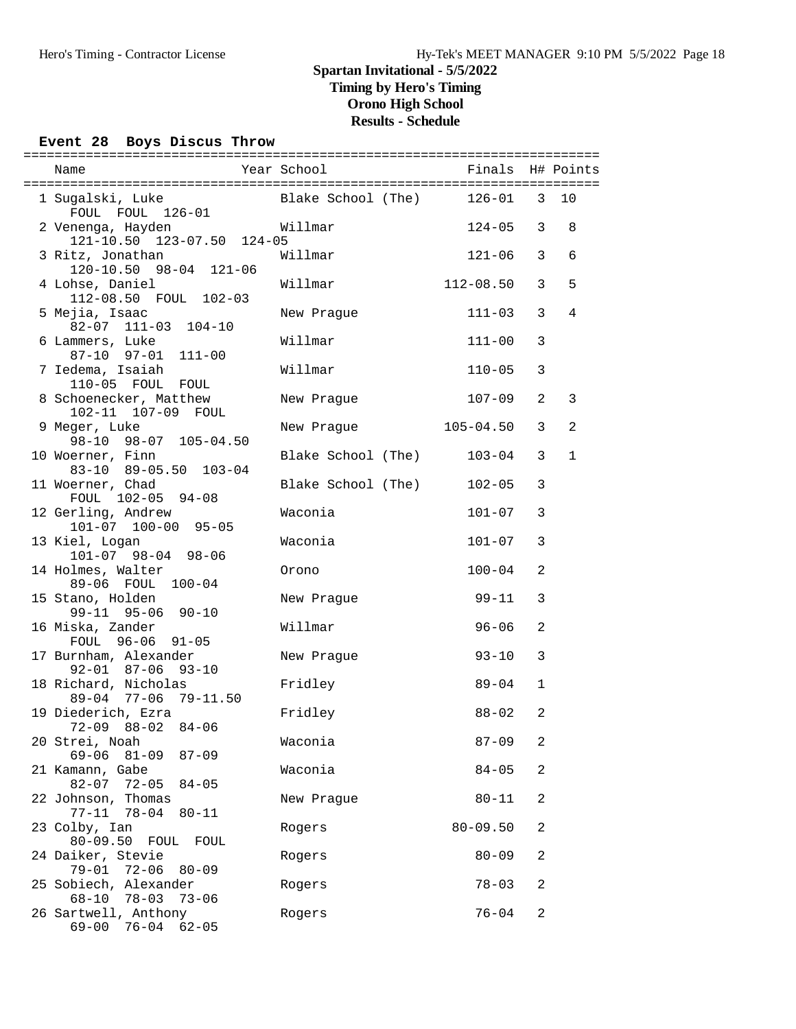### **Event 28 Boys Discus Throw**

| Name                                                                        | Year School               | Finals H# Points |                |                |
|-----------------------------------------------------------------------------|---------------------------|------------------|----------------|----------------|
|                                                                             |                           |                  |                |                |
| 1 Sugalski, Luke<br>FOUL FOUL 126-01                                        | Blake School (The) 126-01 |                  | 3 <sup>7</sup> | 10             |
| 2 Venenga, Hayden<br>nenga, Hayden: ۱۵۰۰–۱۵۰۵<br>121-10.50 123-07.50 124-05 | Willmar                   | $124 - 05$       | 3              | 8              |
| 3 Ritz, Jonathan<br>120-10.50 98-04 121-06                                  | Willmar                   | $121 - 06$       | $\overline{3}$ | 6              |
| 4 Lohse, Daniel<br>112-08.50 FOUL 102-03                                    | Willmar                   | $112 - 08.50$    | 3              | 5              |
| 5 Mejia, Isaac<br>82-07 111-03 104-10                                       | New Prague                | $111 - 03$       | 3              | $\overline{4}$ |
| 6 Lammers, Luke<br>87-10 97-01 111-00                                       | Willmar                   | $111 - 00$       | 3              |                |
| 7 Iedema, Isaiah<br>110-05 FOUL FOUL                                        | Willmar                   | $110 - 05$       | 3              |                |
| 8 Schoenecker, Matthew<br>102-11 107-09 FOUL                                | New Prague                | $107 - 09$       | 2              | 3              |
| 9 Meger, Luke                                                               | New Prague 105-04.50      |                  | 3              | $\overline{2}$ |
| 98-10 98-07 105-04.50<br>10 Woerner, Finn                                   | Blake School (The)        | $103 - 04$       | 3              | $\mathbf{1}$   |
| 83-10 89-05.50 103-04<br>11 Woerner, Chad                                   | Blake School (The)        | $102 - 05$       | 3              |                |
| FOUL 102-05 94-08<br>12 Gerling, Andrew                                     | Waconia                   | $101 - 07$       | 3              |                |
| 101-07 100-00 95-05<br>13 Kiel, Logan                                       | Waconia                   | $101 - 07$       | 3              |                |
| 101-07 98-04 98-06<br>14 Holmes, Walter                                     | Orono                     | $100 - 04$       | $\overline{a}$ |                |
| 89-06 FOUL 100-04<br>15 Stano, Holden                                       | New Prague                | $99 - 11$        | 3              |                |
| 99-11 95-06 90-10<br>16 Miska, Zander                                       | Willmar                   | $96 - 06$        | 2              |                |
| FOUL 96-06 91-05<br>17 Burnham, Alexander                                   | New Prague                | $93 - 10$        | 3              |                |
| $92 - 01$ $87 - 06$ $93 - 10$<br>18 Richard, Nicholas                       | Fridley                   | 89-04            | $\mathbf{1}$   |                |
| 89-04 77-06 79-11.50<br>19 Diederich, Ezra                                  | Fridley                   | $88 - 02$        | 2              |                |
| $72-09$ $88-02$ $84-06$                                                     | Waconia                   | $87 - 09$        | 2              |                |
| 20 Strei, Noah<br>$69 - 06$ $81 - 09$<br>87-09                              |                           |                  |                |                |
| 21 Kamann, Gabe<br>$82 - 07$ 72-05<br>$84 - 05$                             | Waconia                   | $84 - 05$        | 2              |                |
| 22 Johnson, Thomas<br>$77 - 11$ $78 - 04$<br>$80 - 11$                      | New Prague                | $80 - 11$        | 2              |                |
| 23 Colby, Ian<br>$80 - 09.50$<br>FOUL FOUL                                  | Rogers                    | $80 - 09.50$     | 2              |                |
| 24 Daiker, Stevie<br>$79 - 01$ $72 - 06$<br>80-09                           | Rogers                    | $80 - 09$        | 2              |                |
| 25 Sobiech, Alexander<br>68-10 78-03<br>73-06                               | Rogers                    | $78 - 03$        | 2              |                |
| 26 Sartwell, Anthony<br>$69 - 00$<br>$76 - 04$<br>$62 - 05$                 | Rogers                    | $76 - 04$        | 2              |                |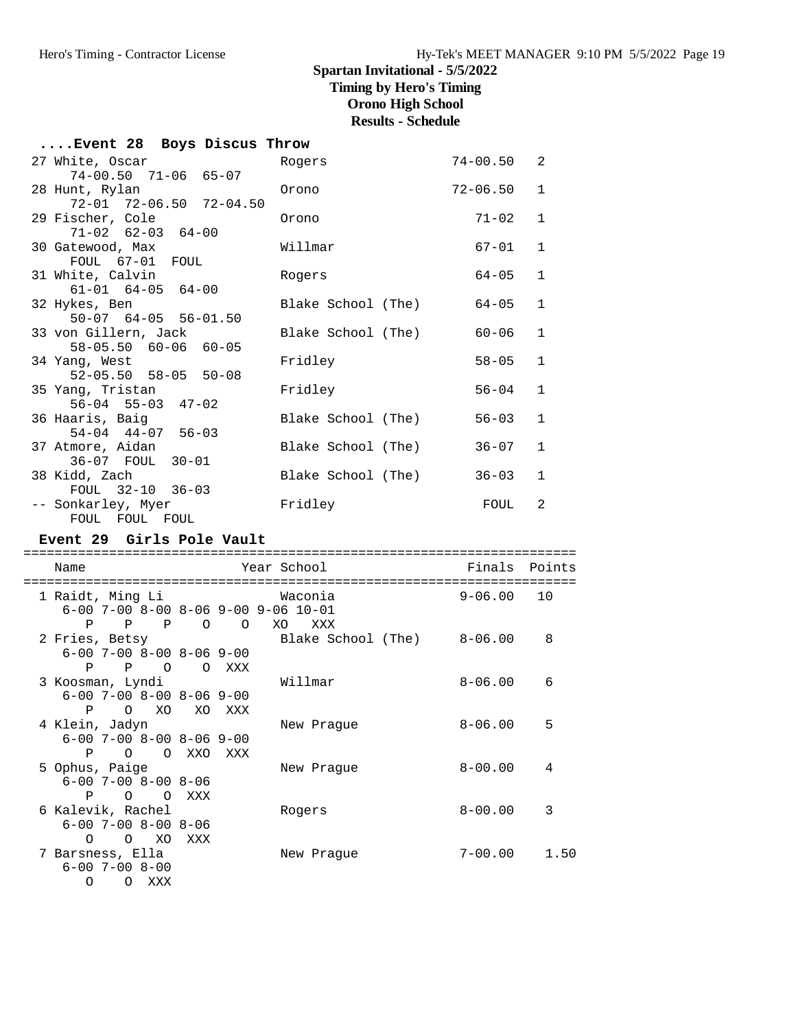# **Spartan Invitational - 5/5/2022 Timing by Hero's Timing**

# **Orono High School**

**Results - Schedule**

| Event 28 Boys Discus Throw |                |                                                                                                                                          |
|----------------------------|----------------|------------------------------------------------------------------------------------------------------------------------------------------|
| Rogers                     | $74 - 00.50$ 2 |                                                                                                                                          |
|                            |                |                                                                                                                                          |
| Orono                      | $72 - 06.50$   | $\mathbf{1}$                                                                                                                             |
|                            |                |                                                                                                                                          |
| Orono                      | $71 - 02$      | $\mathbf{1}$                                                                                                                             |
|                            |                |                                                                                                                                          |
| Willmar                    | 67-01          | $\mathbf{1}$                                                                                                                             |
|                            |                |                                                                                                                                          |
| Rogers                     | 64-05          | $\mathbf{1}$                                                                                                                             |
|                            |                |                                                                                                                                          |
|                            |                | $\mathbf{1}$                                                                                                                             |
|                            |                |                                                                                                                                          |
|                            |                | $\mathbf{1}$                                                                                                                             |
|                            |                |                                                                                                                                          |
| Fridley                    | $58 - 05$      | $\mathbf{1}$                                                                                                                             |
|                            |                |                                                                                                                                          |
| Fridley                    | $56 - 04$      | $\mathbf{1}$                                                                                                                             |
|                            |                |                                                                                                                                          |
|                            |                | $\mathbf{1}$                                                                                                                             |
|                            |                |                                                                                                                                          |
|                            |                | $\mathbf{1}$                                                                                                                             |
|                            |                |                                                                                                                                          |
|                            |                | $\mathbf{1}$                                                                                                                             |
|                            |                |                                                                                                                                          |
| Fridley                    | FOUL           | $\overline{2}$                                                                                                                           |
|                            |                |                                                                                                                                          |
|                            |                | Blake School (The) 64-05<br>Blake School (The) 60-06<br>Blake School (The) 56-03<br>Blake School (The) 36-07<br>Blake School (The) 36-03 |

#### **Event 29 Girls Pole Vault**

=======================================================================

| Name                                                                                              |        |                 | Year School                             | Finals      | Points |
|---------------------------------------------------------------------------------------------------|--------|-----------------|-----------------------------------------|-------------|--------|
| 1 Raidt, Ming Li<br>$6-00$ 7-00 8-00 8-06 9-00 9-06 10-01                                         |        |                 | Waconia                                 | $9 - 06.00$ | 10     |
| $P$ $P$<br>P<br>2 Fries, Betsy                                                                    |        | $\circ$ $\circ$ | XO<br>XXX<br>Blake School (The) 8-06.00 |             | 8      |
| $6 - 00$ 7-00 8-00 8-06 9-00<br>P<br>$P$ 0                                                        |        | O XXX           |                                         |             |        |
| 3 Koosman, Lyndi<br>$6-00$ 7-00 8-00 8-06 9-00                                                    |        |                 | Willmar                                 | $8 - 06.00$ | 6      |
| O XO<br>$\mathbf{P}$<br>4 Klein, Jadyn                                                            | XO XXX |                 | New Praque                              | $8 - 06.00$ | 5      |
| $6 - 00$ 7-00 8-00 8-06 9-00                                                                      |        |                 |                                         |             |        |
| O O XXO<br>P<br>5 Ophus, Paige<br>$6 - 00$ 7-00 8-00 8-06                                         |        | XXX             | New Praque                              | $8 - 00.00$ | 4      |
| P.<br>$\Omega$<br>$\Omega$                                                                        | XXX    |                 |                                         |             |        |
| 6 Kalevik, Rachel<br>$6 - 00$ 7-00 8-00 8-06                                                      |        |                 | Rogers                                  | $8 - 00.00$ | 3      |
| $\circ$<br>XO<br>$\Omega$<br>7 Barsness, Ella<br>$6 - 00$ 7-00 8-00<br>$\Omega$<br>XXX<br>$\circ$ | XXX    |                 | New Praque                              | 7-00.00     | 1.50   |
|                                                                                                   |        |                 |                                         |             |        |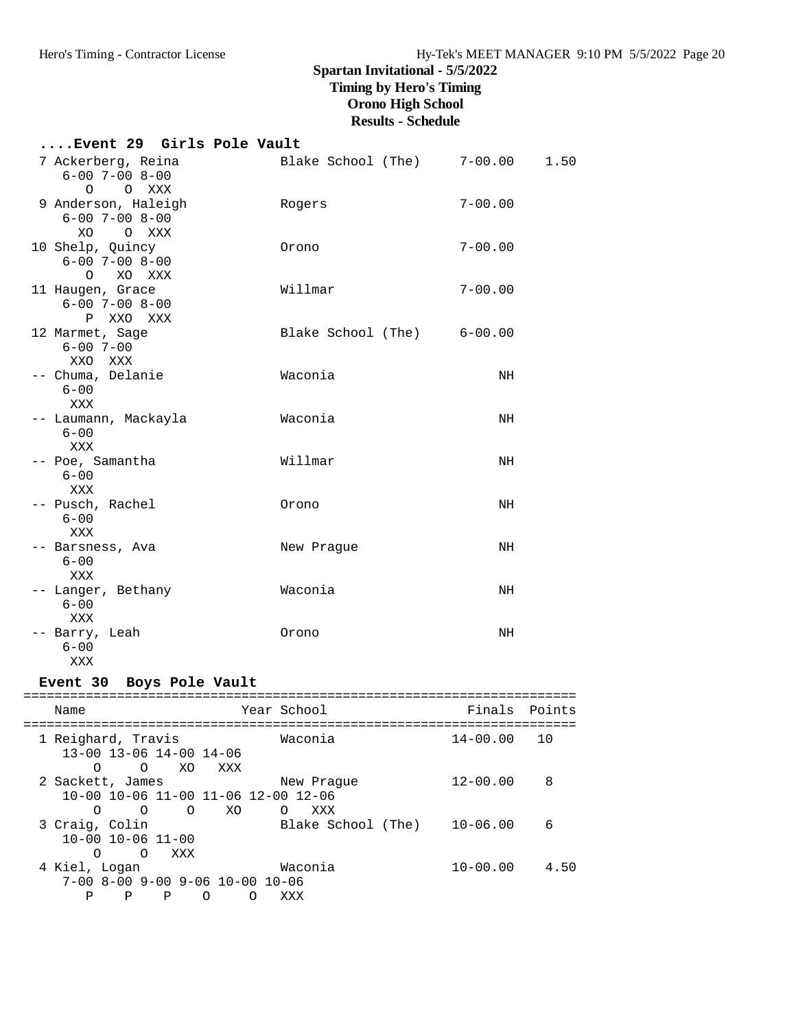# **....Event 29 Girls Pole Vault**

| 7 Ackerberg, Reina<br>$6 - 00$ $7 - 00$ $8 - 00$                        | Blake School (The) 7-00.00 |             | 1.50 |
|-------------------------------------------------------------------------|----------------------------|-------------|------|
| $\circ$<br>O XXX<br>9 Anderson, Haleigh<br>$6 - 00$ $7 - 00$ $8 - 00$   | Rogers                     | $7 - 00.00$ |      |
| XO OXXX<br>10 Shelp, Quincy<br>$6 - 00$ $7 - 00$ $8 - 00$               | Orono                      | $7 - 00.00$ |      |
| O XO XXX<br>11 Haugen, Grace<br>$6 - 00$ $7 - 00$ $8 - 00$<br>P XXO XXX | Willmar                    | $7 - 00.00$ |      |
| 12 Marmet, Sage<br>$6 - 00$ 7-00<br>XXO XXX                             | Blake School (The) 6-00.00 |             |      |
| -- Chuma, Delanie<br>$6 - 00$<br>XXX                                    | Waconia                    | NH          |      |
| -- Laumann, Mackayla<br>$6 - 00$<br>XXX                                 | Waconia                    | NH          |      |
| -- Poe, Samantha<br>$6 - 00$<br>XXX                                     | Willmar                    | NH          |      |
| -- Pusch, Rachel<br>$6 - 00$<br>XXX                                     | Orono                      | NH          |      |
| -- Barsness, Ava<br>$6 - 00$                                            | New Prague                 | NH          |      |
| XXX<br>-- Langer, Bethany<br>$6 - 00$<br>XXX                            | Waconia                    | NH          |      |
| -- Barry, Leah<br>$6 - 00$<br>XXX                                       | Orono                      | NH          |      |

### **Event 30 Boys Pole Vault**

| Name                                                                                           |   | Year School                     | Finals Points |      |
|------------------------------------------------------------------------------------------------|---|---------------------------------|---------------|------|
| 1 Reighard, Travis<br>$13 - 00$ $13 - 06$ $14 - 00$ $14 - 06$                                  |   | Waconia                         | $14 - 00.00$  |      |
| XO<br>$\Omega$<br>XXX<br>∩<br>2 Sackett, James<br>10-00 10-06 11-00 11-06 12-00 12-06          |   | New Praque                      | $12 - 00.00$  | 8    |
| XO<br>∩<br>$\Omega$<br>$\Omega$<br>3 Craig, Colin<br>$10 - 00$ $10 - 06$ $11 - 00$             |   | XXX<br>O.<br>Blake School (The) | $10 - 06.00$  | 6    |
| XXX<br>$\Omega$<br>∩<br>4 Kiel, Logan<br>$7-00$ 8-00 9-00 9-06 10-00 10-06<br>P<br>∩<br>P<br>P | ∩ | Waconia<br>XXX                  | $10 - 00.00$  | 4.50 |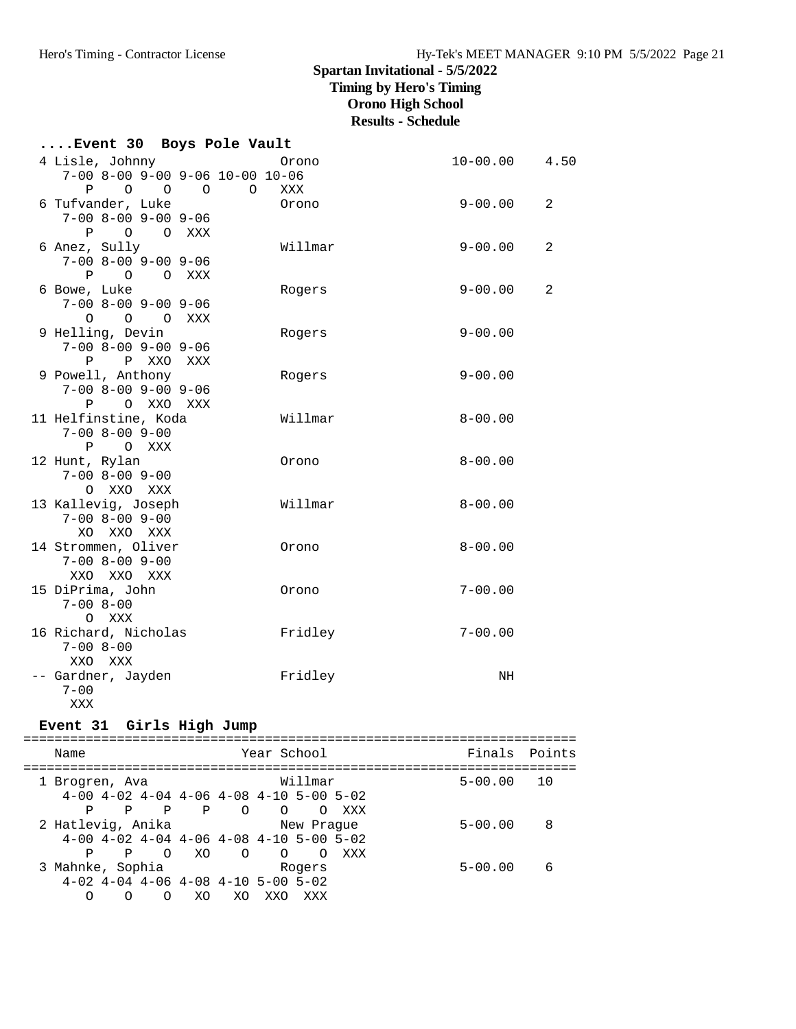# **Spartan Invitational - 5/5/2022**

**Timing by Hero's Timing**

# **Orono High School**

**Results - Schedule**

| Event 30 Boys Pole Vault                                                      |              |                   |   |
|-------------------------------------------------------------------------------|--------------|-------------------|---|
| 4 Lisle, Johnny<br>$7-00$ 8-00 9-00 9-06 10-00 10-06                          | Orono        | $10 - 00.00$ 4.50 |   |
| P 0 0 0 0<br>6 Tufvander, Luke                                                | XXX<br>Orono | $9 - 00.00$       | 2 |
| $7 - 00$ $8 - 00$ $9 - 00$ $9 - 06$<br>P O O XXX                              |              |                   |   |
| 6 Anez, Sully<br>$7 - 00$ $8 - 00$ $9 - 00$ $9 - 06$                          | Willmar      | $9 - 00.00$       | 2 |
| P O O XXX<br>6 Bowe, Luke<br>$7 - 00$ $8 - 00$ $9 - 00$ $9 - 06$<br>O O O XXX | Rogers       | $9 - 00.00$       | 2 |
| 9 Helling, Devin<br>$7 - 00$ $8 - 00$ $9 - 00$ $9 - 06$<br>P P XXO XXX        | Rogers       | $9 - 00.00$       |   |
| 9 Powell, Anthony<br>$7 - 00$ $8 - 00$ $9 - 00$ $9 - 06$<br>P O XXO XXX       | Rogers       | $9 - 00.00$       |   |
| 11 Helfinstine, Koda<br>$7 - 00$ $8 - 00$ $9 - 00$<br>P O XXX                 | Willmar      | $8 - 00.00$       |   |
| 12 Hunt, Rylan<br>$7 - 00$ $8 - 00$ $9 - 00$<br>O XXO XXX                     | Orono        | $8 - 00.00$       |   |
| 13 Kallevig, Joseph<br>$7 - 00$ $8 - 00$ $9 - 00$<br>XO XXO XXX               | Willmar      | $8 - 00.00$       |   |
| 14 Strommen, Oliver<br>$7 - 00$ $8 - 00$ $9 - 00$<br>XXO XXO XXX              | Orono        | $8 - 00.00$       |   |
| 15 DiPrima, John<br>$7 - 00$ $8 - 00$<br>O XXX                                | Orono        | $7 - 00.00$       |   |
| 16 Richard, Nicholas<br>$7 - 008 - 00$<br>XXO XXX                             | Fridley      | $7 - 00.00$       |   |
| -- Gardner, Jayden<br>$7 - 00$<br>XXX                                         | Fridley      | NH                |   |

### **Event 31 Girls High Jump**

|  | Name              |                     |                                                         |         | Year School |            |     | Finals Points |    |
|--|-------------------|---------------------|---------------------------------------------------------|---------|-------------|------------|-----|---------------|----|
|  | 1 Brogren, Ava    |                     |                                                         |         |             | Willmar    |     | $5 - 00.00$   | 10 |
|  |                   |                     | $4-00$ $4-02$ $4-04$ $4-06$ $4-08$ $4-10$ $5-00$ $5-02$ |         |             |            |     |               |    |
|  | P                 | P                   | Ρ<br>P                                                  | $\circ$ | $\circ$     | $\Omega$   | xxx |               |    |
|  | 2 Hatlevig, Anika |                     |                                                         |         |             | New Praque |     | $5 - 00.00$   | 8  |
|  |                   |                     | $4-00$ $4-02$ $4-04$ $4-06$ $4-08$ $4-10$ $5-00$ $5-02$ |         |             |            |     |               |    |
|  | P                 | $\overline{O}$<br>P | XO                                                      | $\circ$ | $\circ$     | $\Omega$   | XXX |               |    |
|  | 3 Mahnke, Sophia  |                     |                                                         |         |             | Rogers     |     | $5 - 00.00$   | 6  |
|  |                   |                     | $4-02$ $4-04$ $4-06$ $4-08$ $4-10$ $5-00$ $5-02$        |         |             |            |     |               |    |
|  | ∩                 | ∩                   | XO.<br>∩                                                | XO.     | XXO         | XXX        |     |               |    |
|  |                   |                     |                                                         |         |             |            |     |               |    |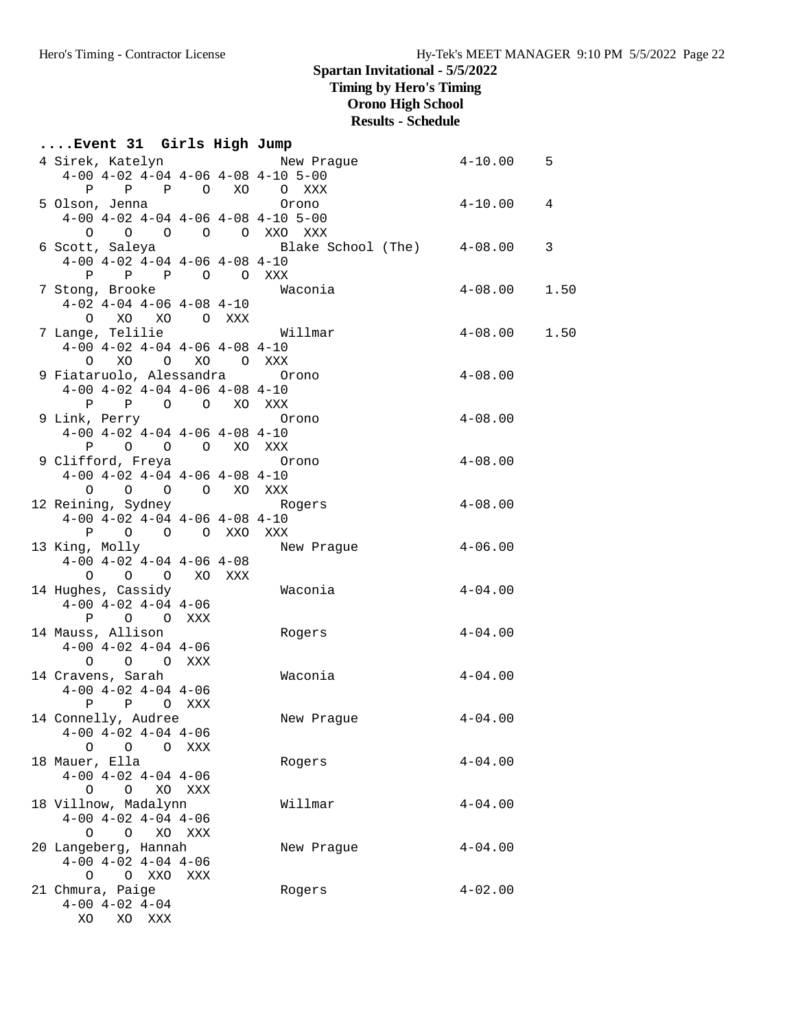# **Spartan Invitational - 5/5/2022**

**Timing by Hero's Timing**

**Orono High School**

# **Results - Schedule**

| Event 31 Girls High Jump                                   |     |                                                                     |                  |      |
|------------------------------------------------------------|-----|---------------------------------------------------------------------|------------------|------|
|                                                            |     | 4 Sirek, Katelyn                   New Prague               4-10.00 |                  | 5    |
| $4-00$ $4-02$ $4-04$ $4-06$ $4-08$ $4-10$ $5-00$           |     |                                                                     |                  |      |
| P P P O XO O XXX                                           |     |                                                                     |                  |      |
| 5 Olson, Jenna                                             |     | Orono                                                               | $4 - 10.00$      | 4    |
| $4-00$ $4-02$ $4-04$ $4-06$ $4-08$ $4-10$ $5-00$           |     |                                                                     |                  |      |
| 0 0 0 0 0 XXO XXX                                          |     |                                                                     |                  |      |
|                                                            |     | 6 Scott, Saleya (6 Blake School (The) 4-08.00                       |                  | 3    |
| $4-00$ $4-02$ $4-04$ $4-06$ $4-08$ $4-10$                  |     |                                                                     |                  |      |
| P P P O O XXX                                              |     |                                                                     |                  |      |
| 7 Stong, Brooke                                            |     | Waconia                                                             | $4-08.00$        | 1.50 |
| $4-02$ $4-04$ $4-06$ $4-08$ $4-10$                         |     |                                                                     |                  |      |
| O XO XO O XXX                                              |     |                                                                     |                  |      |
| 7 Lange, Telilie                                           |     | Willmar                                                             | $4 - 08.00$ 1.50 |      |
| $4-00$ $4-02$ $4-04$ $4-06$ $4-08$ $4-10$                  |     |                                                                     |                  |      |
| O XO O XO O XXX                                            |     |                                                                     |                  |      |
| 9 Fiataruolo, Alessandra orono                             |     |                                                                     | $4 - 08.00$      |      |
| $4-00$ $4-02$ $4-04$ $4-06$ $4-08$ $4-10$                  |     |                                                                     |                  |      |
| P P O O XO XXX                                             |     |                                                                     |                  |      |
| 9 Link, Perry<br>$4-00$ $4-02$ $4-04$ $4-06$ $4-08$ $4-10$ |     | Orono                                                               | $4 - 08.00$      |      |
| P O O O XO XXX                                             |     |                                                                     |                  |      |
| 9 Clifford, Freya 6rono                                    |     |                                                                     | $4 - 08.00$      |      |
| $4-00$ $4-02$ $4-04$ $4-06$ $4-08$ $4-10$                  |     |                                                                     |                  |      |
| 0 0 0 0 XO XXX                                             |     |                                                                     |                  |      |
| 12 Reining, Sydney Contract Rogers                         |     |                                                                     | $4 - 08.00$      |      |
| $4-00$ $4-02$ $4-04$ $4-06$ $4-08$ $4-10$                  |     |                                                                     |                  |      |
| P O O O XXO XXX                                            |     |                                                                     |                  |      |
| 13 King, Molly                                             |     | New Prague                                                          | $4 - 06.00$      |      |
| $4-00$ $4-02$ $4-04$ $4-06$ $4-08$                         |     |                                                                     |                  |      |
| O O O XO XXX                                               |     |                                                                     |                  |      |
| 14 Hughes, Cassidy                                         |     | Waconia                                                             | $4 - 04.00$      |      |
| $4-00$ $4-02$ $4-04$ $4-06$                                |     |                                                                     |                  |      |
| P O O XXX                                                  |     |                                                                     |                  |      |
| 14 Mauss, Allison                                          |     | Rogers                                                              | $4 - 04.00$      |      |
| $4-00$ $4-02$ $4-04$ $4-06$                                |     |                                                                     |                  |      |
| O O O XXX                                                  |     |                                                                     |                  |      |
| 14 Cravens, Sarah                                          |     | Waconia                                                             | $4 - 04.00$      |      |
| $4-00$ $4-02$ $4-04$ $4-06$                                |     |                                                                     |                  |      |
| P P O XXX                                                  |     |                                                                     |                  |      |
| 14 Connelly, Audree                                        |     | New Prague                                                          | $4 - 04.00$      |      |
| $4-00$ $4-02$ $4-04$ $4-06$<br>O O O XXX                   |     |                                                                     |                  |      |
| 18 Mauer, Ella                                             |     |                                                                     | $4 - 04.00$      |      |
| $4-00$ $4-02$ $4-04$ $4-06$                                |     | Rogers                                                              |                  |      |
| O O XO XXX                                                 |     |                                                                     |                  |      |
| 18 Villnow, Madalynn                                       |     | Willmar                                                             | $4 - 04.00$      |      |
| $4-00$ $4-02$ $4-04$ $4-06$                                |     |                                                                     |                  |      |
| O O XO XXX                                                 |     |                                                                     |                  |      |
| 20 Langeberg, Hannah                                       |     | New Prague                                                          | $4 - 04.00$      |      |
| $4-00$ $4-02$ $4-04$ $4-06$                                |     |                                                                     |                  |      |
| O XXO<br>$\circ$                                           | XXX |                                                                     |                  |      |
| 21 Chmura, Paige                                           |     | Rogers                                                              | $4 - 02.00$      |      |
| $4-00$ $4-02$ $4-04$                                       |     |                                                                     |                  |      |
| XO XO XXX                                                  |     |                                                                     |                  |      |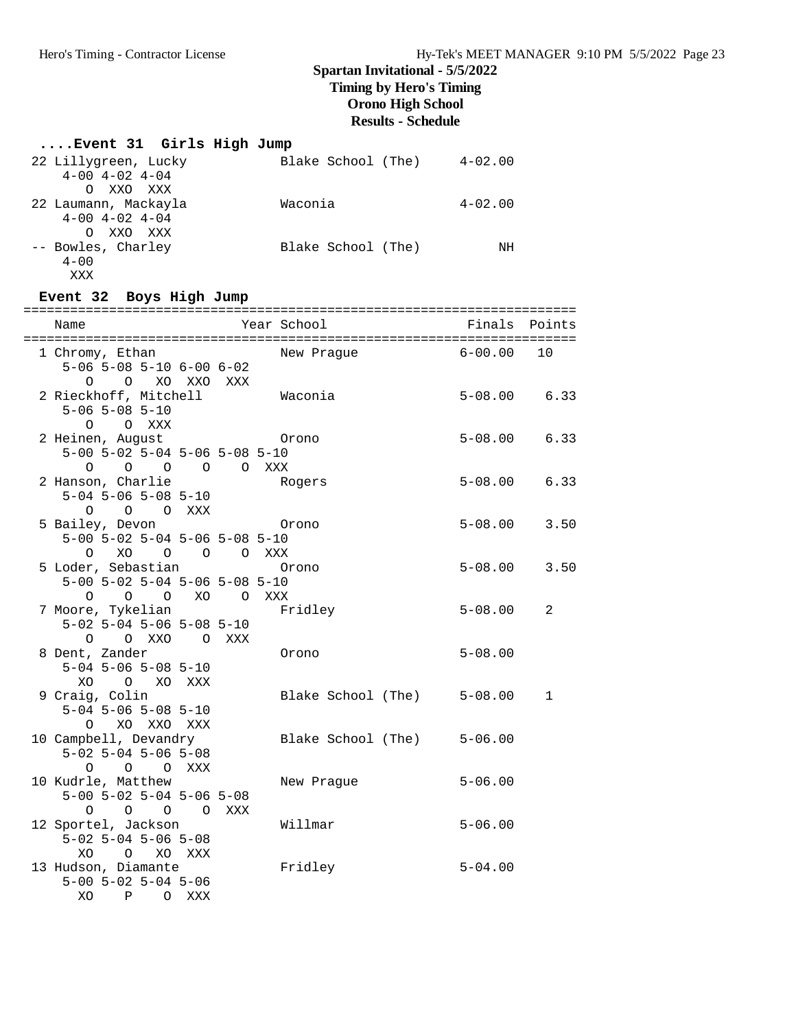#### **....Event 31 Girls High Jump** 22 Lillygreen, Lucky Blake School (The) 4-02.00 4-00 4-02 4-04 O XXO XXX 22 Laumann, Mackayla Waconia 4-02.00 4-00 4-02 4-04 O XXO XXX -- Bowles, Charley Blake School (The) NH  $4 - 00$  XXX **Event 32 Boys High Jump**

| Name                                      |         | Year School                | Finals           | Points         |
|-------------------------------------------|---------|----------------------------|------------------|----------------|
| 1 Chromy, Ethan                           |         | New Prague                 | $6 - 00.00$      | 10             |
| $5-06$ $5-08$ $5-10$ $6-00$ $6-02$        |         |                            |                  |                |
| O O XO XXO XXX                            |         |                            |                  |                |
| 2 Rieckhoff, Mitchell                     |         | Waconia                    | $5 - 08.00$ 6.33 |                |
| $5 - 06$ $5 - 08$ $5 - 10$                |         |                            |                  |                |
| O O XXX                                   |         |                            |                  |                |
| 2 Heinen, August                          |         | Orono                      | $5 - 08.00$ 6.33 |                |
| $5-00$ $5-02$ $5-04$ $5-06$ $5-08$ $5-10$ |         |                            |                  |                |
| O O O O XXX<br>$\circ$                    |         |                            |                  |                |
| 2 Hanson, Charlie                         |         | Rogers                     | $5 - 08.00$      | 6.33           |
| $5-04$ $5-06$ $5-08$ $5-10$               |         |                            |                  |                |
| O O O XXX                                 |         |                            |                  |                |
| 5 Bailey, Devon                           |         | Orono                      | $5 - 08.00$ 3.50 |                |
| 5-00 5-02 5-04 5-06 5-08 5-10             |         |                            |                  |                |
| 0 XO 0 0 0 XXX                            |         |                            |                  |                |
| 5 Loder, Sebastian                        |         | Orono                      | $5 - 08.00$ 3.50 |                |
| $5-00$ $5-02$ $5-04$ $5-06$ $5-08$ $5-10$ |         |                            |                  |                |
| $0\qquad 0$<br>$\circ$                    | XO OXXX |                            |                  |                |
| 7 Moore, Tykelian                         |         | Fridley                    | $5 - 08.00$      | $\overline{2}$ |
| $5-02$ $5-04$ $5-06$ $5-08$ $5-10$        |         |                            |                  |                |
| O O XXO O XXX                             |         |                            |                  |                |
| 8 Dent, Zander                            |         | Orono                      | $5 - 08.00$      |                |
| $5 - 04$ $5 - 06$ $5 - 08$ $5 - 10$       |         |                            |                  |                |
| XO O XO XXX                               |         |                            |                  |                |
| 9 Craig, Colin                            |         | Blake School (The) 5-08.00 |                  | $\mathbf{1}$   |
| $5 - 04$ $5 - 06$ $5 - 08$ $5 - 10$       |         |                            |                  |                |
| O XO XXO XXX                              |         |                            |                  |                |
| 10 Campbell, Devandry                     |         | Blake School (The) 5-06.00 |                  |                |
| $5-02$ $5-04$ $5-06$ $5-08$               |         |                            |                  |                |
| O O O XXX                                 |         |                            |                  |                |
| 10 Kudrle, Matthew                        |         | New Prague                 | $5 - 06.00$      |                |
| $5-00$ $5-02$ $5-04$ $5-06$ $5-08$        |         |                            |                  |                |
| O O O XXX<br>O                            |         |                            |                  |                |
| 12 Sportel, Jackson                       |         | Willmar                    | $5 - 06.00$      |                |
| $5-02$ $5-04$ $5-06$ $5-08$               |         |                            |                  |                |
| XO O XO XXX                               |         |                            |                  |                |
| 13 Hudson, Diamante                       |         | Fridley                    | $5 - 04.00$      |                |
| $5 - 00$ $5 - 02$ $5 - 04$ $5 - 06$       |         |                            |                  |                |
| XO<br>$\mathbf{P}$<br>O XXX               |         |                            |                  |                |
|                                           |         |                            |                  |                |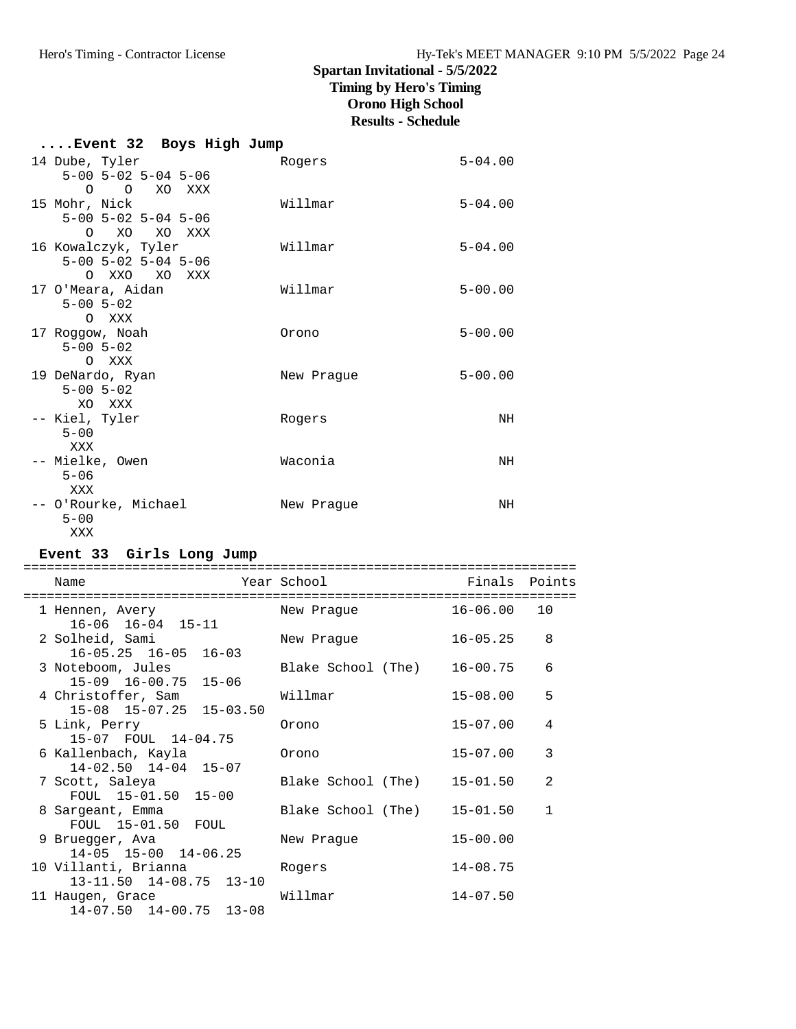# **Spartan Invitational - 5/5/2022**

**Timing by Hero's Timing**

# **Orono High School**

**Results - Schedule**

| Event 32 Boys High Jump             |            |             |
|-------------------------------------|------------|-------------|
| 14 Dube, Tyler                      | Rogers     | $5 - 04.00$ |
| $5 - 00$ $5 - 02$ $5 - 04$ $5 - 06$ |            |             |
| O O XO XXX                          |            |             |
| 15 Mohr, Nick                       | Willmar    | $5 - 04.00$ |
| $5 - 00$ $5 - 02$ $5 - 04$ $5 - 06$ |            |             |
| O XO XO XXX<br>16 Kowalczyk, Tyler  | Willmar    | $5 - 04.00$ |
| $5 - 00$ $5 - 02$ $5 - 04$ $5 - 06$ |            |             |
| O XXO XO XXX                        |            |             |
| 17 O'Meara, Aidan                   | Willmar    | $5 - 00.00$ |
| $5 - 00$ $5 - 02$                   |            |             |
| O XXX                               |            |             |
| 17 Roggow, Noah                     | Orono      | $5 - 00.00$ |
| $5 - 00$ $5 - 02$                   |            |             |
| O XXX<br>19 DeNardo, Ryan           | New Praque | $5 - 00.00$ |
| $5 - 00$ $5 - 02$                   |            |             |
| XO XXX                              |            |             |
| -- Kiel, Tyler                      | Rogers     | ΝH          |
| $5 - 00$                            |            |             |
| XXX                                 |            |             |
| -- Mielke, Owen                     | Waconia    | ΝH          |
| $5 - 06$                            |            |             |
| XXX<br>-- O'Rourke, Michael         | New Praque | ΝH          |
| $5 - 00$                            |            |             |
| XXX                                 |            |             |

### **Event 33 Girls Long Jump**

| ===========                                                 |                    |               |              |
|-------------------------------------------------------------|--------------------|---------------|--------------|
| Name<br>===========================                         | Year School        | Finals Points |              |
| 1 Hennen, Avery<br>$16-06$ $16-04$ $15-11$                  | New Praque         | $16 - 06.00$  | 10           |
| 2 Solheid, Sami<br>$16-05.25$ $16-05$ $16-03$               | New Praque         | $16 - 05.25$  | 8            |
| 3 Noteboom, Jules<br>15-09 16-00.75 15-06                   | Blake School (The) | 16-00.75      | 6            |
| 4 Christoffer, Sam<br>15-08 15-07.25 15-03.50               | Willmar            | $15 - 08.00$  | 5            |
| 5 Link, Perry<br>15-07 FOUL 14-04.75                        | Orono              | $15 - 07.00$  | 4            |
| 6 Kallenbach, Kayla<br>$14-02.50$ $14-04$ $15-07$           | Orono              | $15 - 07.00$  | 3            |
| 7 Scott, Saleya<br>FOUL 15-01.50 15-00                      | Blake School (The) | $15 - 01.50$  | 2            |
| 8 Sargeant, Emma<br>FOUL 15-01.50 FOUL                      | Blake School (The) | $15 - 01.50$  | $\mathbf{1}$ |
| 9 Bruegger, Ava<br>$14-05$ $15-00$ $14-06.25$               | New Praque         | $15 - 00.00$  |              |
| 10 Villanti, Brianna<br>$13 - 11.50$ $14 - 08.75$ $13 - 10$ | Rogers             | $14 - 08.75$  |              |
| 11 Haugen, Grace<br>$14-07.50$ $14-00.75$ $13-08$           | Willmar            | $14 - 07.50$  |              |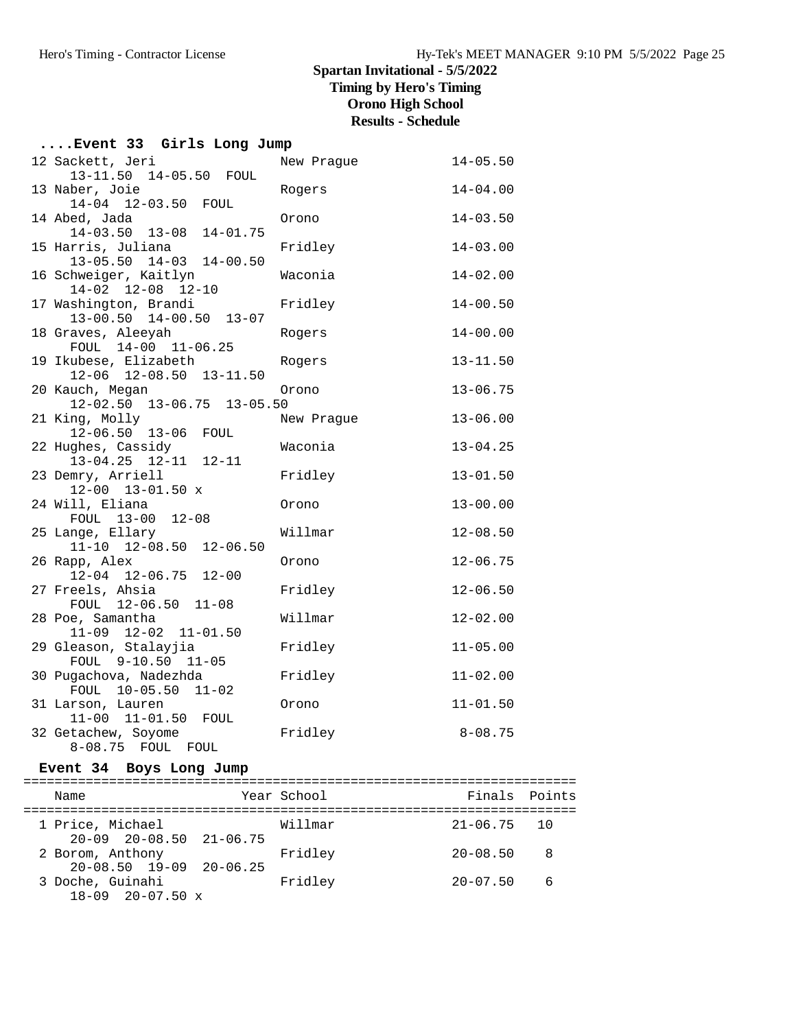# **Spartan Invitational - 5/5/2022 Timing by Hero's Timing Orono High School**

**Results - Schedule**

| Event 33 Girls Long Jump                                              |            |              |
|-----------------------------------------------------------------------|------------|--------------|
| 12 Sackett, Jeri<br>13-11.50 14-05.50 FOUL                            | New Praque | $14 - 05.50$ |
| 13 Naber, Joie                                                        | Rogers     | $14 - 04.00$ |
| 14-04 12-03.50 FOUL<br>14 Abed, Jada                                  | Orono      | $14 - 03.50$ |
| 14-03.50 13-08 14-01.75<br>15 Harris, Juliana                         | Fridley    | $14 - 03.00$ |
| 13-05.50 14-03 14-00.50<br>16 Schweiger, Kaitlyn                      | Waconia    | $14 - 02.00$ |
| 14-02 12-08 12-10<br>17 Washington, Brandi<br>13-00.50 14-00.50 13-07 | Fridley    | $14 - 00.50$ |
| 18 Graves, Aleeyah<br>FOUL 14-00 11-06.25                             | Rogers     | $14 - 00.00$ |
| 19 Ikubese, Elizabeth<br>$12-06$ $12-08.50$ $13-11.50$                | Rogers     | $13 - 11.50$ |
| 20 Kauch, Megan<br>12-02.50 13-06.75 13-05.50                         | Orono      | $13 - 06.75$ |
| 21 King, Molly                                                        | New Prague | $13 - 06.00$ |
| 12-06.50 13-06 FOUL<br>22 Hughes, Cassidy                             | Waconia    | $13 - 04.25$ |
| $13-04.25$ $12-11$ $12-11$<br>23 Demry, Arriell                       | Fridley    | $13 - 01.50$ |
| $12-00$ $13-01.50$ x<br>24 Will, Eliana                               | Orono      | $13 - 00.00$ |
| FOUL 13-00 12-08<br>25 Lange, Ellary                                  | Willmar    | $12 - 08.50$ |
| 11-10 12-08.50 12-06.50<br>26 Rapp, Alex                              | Orono      | $12 - 06.75$ |
| 12-04 12-06.75 12-00<br>27 Freels, Ahsia                              | Fridley    | $12 - 06.50$ |
| FOUL 12-06.50 11-08<br>28 Poe, Samantha                               | Willmar    | $12 - 02.00$ |
| 11-09 12-02 11-01.50<br>29 Gleason, Stalayjia                         | Fridley    | $11 - 05.00$ |
| FOUL 9-10.50 11-05                                                    |            |              |
| 30 Pugachova, Nadezhda<br>FOUL 10-05.50 11-02                         | Fridley    | $11 - 02.00$ |
| 31 Larson, Lauren<br>11-00 11-01.50 FOUL                              | Orono      | $11 - 01.50$ |
| 32 Getachew, Soyome<br>8-08.75 FOUL<br>FOUL                           | Fridley    | $8 - 08.75$  |

# **Event 34 Boys Long Jump**

| Name                                                    | Year School | Finals Points   |   |
|---------------------------------------------------------|-------------|-----------------|---|
| 1 Price, Michael<br>$20-09$ $20-08.50$ $21-06.75$       | Willmar     | $21 - 06.75$ 10 |   |
| 2 Borom, Anthony<br>$20 - 08.50$ $19 - 09$ $20 - 06.25$ | Fridley     | $20 - 08.50$    | 8 |
| 3 Doche, Guinahi<br>$18-09$ $20-07.50$ x                | Fridley     | $20 - 07.50$    | 6 |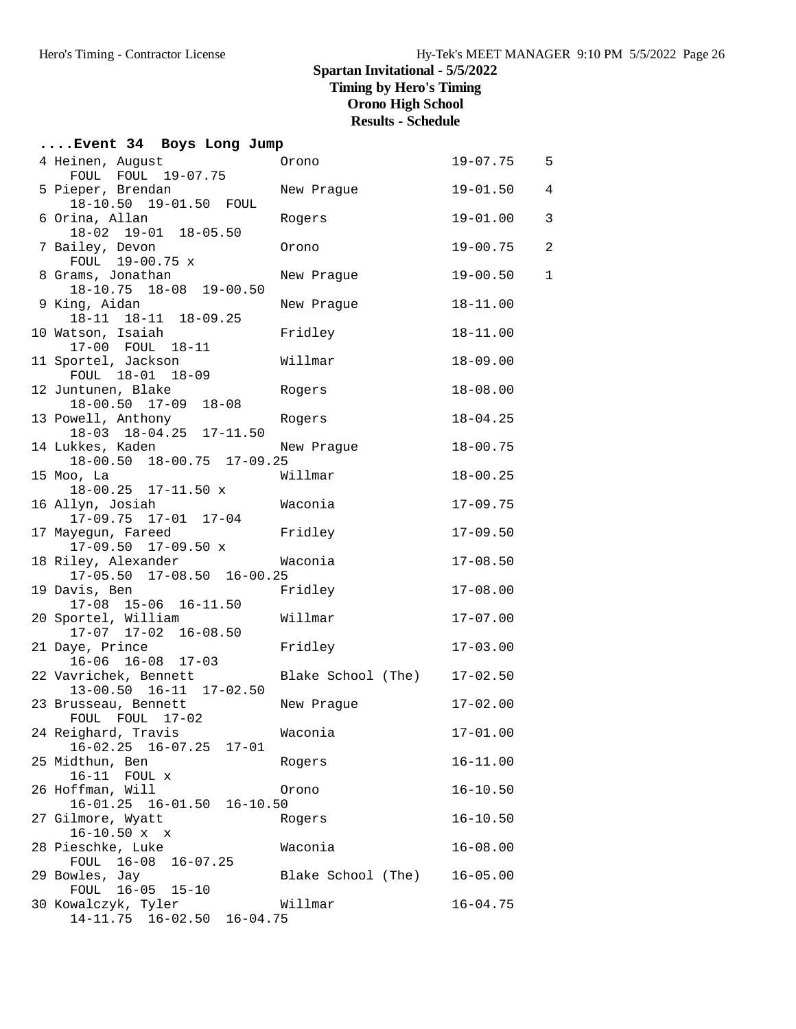# **....Event 34 Boys Long Jump**

| 4 Heinen, August<br>FOUL FOUL 19-07.75                   | Orono                       | $19 - 07.75$ | 5              |
|----------------------------------------------------------|-----------------------------|--------------|----------------|
| 5 Pieper, Brendan                                        | New Praque                  | $19 - 01.50$ | $\overline{4}$ |
| 18-10.50 19-01.50 FOUL                                   |                             |              |                |
| 6 Orina, Allan<br>18-02 19-01 18-05.50                   | Rogers                      | $19 - 01.00$ | 3              |
| 7 Bailey, Devon                                          | Orono                       | $19 - 00.75$ | $\overline{a}$ |
| FOUL 19-00.75 x                                          |                             |              |                |
| 8 Grams, Jonathan<br>18-10.75 18-08 19-00.50             | New Prague                  | $19 - 00.50$ | $\mathbf{1}$   |
| 9 King, Aidan                                            | New Prague                  | $18 - 11.00$ |                |
| 18-11 18-11 18-09.25                                     |                             |              |                |
| 10 Watson, Isaiah                                        | Fridley                     | $18 - 11.00$ |                |
| 17-00 FOUL 18-11<br>11 Sportel, Jackson                  | Willmar                     | $18 - 09.00$ |                |
| FOUL 18-01 18-09                                         |                             |              |                |
| 12 Juntunen, Blake                                       | Rogers                      | $18 - 08.00$ |                |
| 18-00.50 17-09 18-08                                     |                             |              |                |
| 13 Powell, Anthony<br>$18-03$ $18-04.25$ $17-11.50$      | Rogers                      | $18 - 04.25$ |                |
| 14 Lukkes, Kaden                                         | New Prague                  | $18 - 00.75$ |                |
| 18-00.50 18-00.75 17-09.25                               |                             |              |                |
| 15 Moo, La                                               | Willmar                     | $18 - 00.25$ |                |
| $18 - 00.25$ 17-11.50 x<br>16 Allyn, Josiah              | Waconia                     | $17 - 09.75$ |                |
| 17-09.75 17-01 17-04                                     |                             |              |                |
| 17 Mayegun, Fareed                                       | Fridley                     | $17 - 09.50$ |                |
| 17-09.50 17-09.50 x                                      |                             |              |                |
| 18 Riley, Alexander<br>17-05.50 17-08.50 16-00.25        | Waconia                     | $17 - 08.50$ |                |
| 19 Davis, Ben                                            | Fridley                     | $17 - 08.00$ |                |
| 17-08 15-06 16-11.50                                     |                             |              |                |
| 20 Sportel, William                                      | Willmar                     | $17 - 07.00$ |                |
| 17-07 17-02 16-08.50<br>21 Daye, Prince                  | Fridley                     | $17 - 03.00$ |                |
| $16-06$ $16-08$ $17-03$                                  |                             |              |                |
| 22 Vavrichek, Bennett                                    | Blake School (The) 17-02.50 |              |                |
| 13-00.50  16-11  17-02.50                                |                             |              |                |
| 23 Brusseau, Bennett<br>FOUL FOUL 17-02                  | New Prague                  | $17 - 02.00$ |                |
| 24 Reighard, Travis                                      | Waconia                     | $17 - 01.00$ |                |
| 16-02.25 16-07.25 17-01                                  |                             |              |                |
| 25 Midthun, Ben                                          | Rogers                      | $16 - 11.00$ |                |
| 16-11 FOUL x<br>26 Hoffman, Will                         | Orono                       | $16 - 10.50$ |                |
| 16-01.25 16-01.50 16-10.50                               |                             |              |                |
| 27 Gilmore, Wyatt                                        | Rogers                      | $16 - 10.50$ |                |
| $16 - 10.50 x x$<br>28 Pieschke, Luke                    |                             |              |                |
| FOUL 16-08<br>$16 - 07.25$                               | Waconia                     | $16 - 08.00$ |                |
| 29 Bowles, Jay                                           | Blake School (The)          | $16 - 05.00$ |                |
| FOUL 16-05 15-10                                         |                             |              |                |
| 30 Kowalczyk, Tyler<br>14-11.75 16-02.50<br>$16 - 04.75$ | Willmar                     | $16 - 04.75$ |                |
|                                                          |                             |              |                |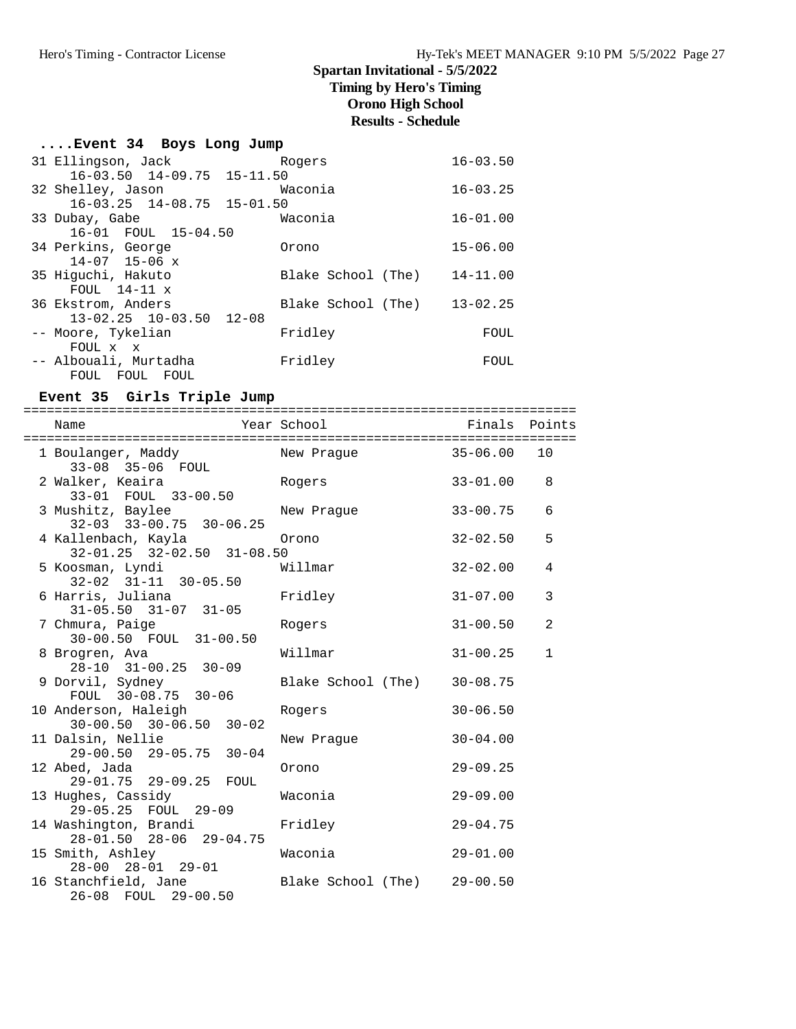# **Spartan Invitational - 5/5/2022**

**Timing by Hero's Timing**

**Orono High School**

# **Results - Schedule**

| Event 34 Boys Long Jump |  |  |  |
|-------------------------|--|--|--|
|-------------------------|--|--|--|

| 31 Ellingson, Jack                     | Rogers             | $16 - 03.50$ |
|----------------------------------------|--------------------|--------------|
| $16-03.50$ $14-09.75$ $15-11.50$       |                    |              |
| 32 Shelley, Jason                      | Waconia            | $16 - 03.25$ |
| $16 - 03.25$ $14 - 08.75$ $15 - 01.50$ |                    |              |
| 33 Dubay, Gabe                         | Waconia            | $16 - 01.00$ |
| 16-01 FOUL 15-04.50                    |                    |              |
| 34 Perkins, George                     | Orono              | $15 - 06.00$ |
| $14 - 07$ 15-06 x                      |                    |              |
| 35 Hiquchi, Hakuto                     | Blake School (The) | $14 - 11.00$ |
| FOUL $14-11 \times$                    |                    |              |
| 36 Ekstrom, Anders                     | Blake School (The) | $13 - 02.25$ |
| $13 - 02.25$ $10 - 03.50$ $12 - 08$    |                    |              |
| -- Moore, Tykelian                     | Fridley            | FOUL         |
| FOUL x x                               |                    |              |
| -- Albouali, Murtadha                  | Fridley            | FOUL         |
| FOUL FOUL<br>FOUL                      |                    |              |
|                                        |                    |              |

### **Event 35 Girls Triple Jump**

======================================================================= Year School **Finals** Points

| nallle                                                                                   | TEAT POITOOT                |              | LINGTS LOTIICS |
|------------------------------------------------------------------------------------------|-----------------------------|--------------|----------------|
| 1 Boulanger, Maddy New Prague 35-06.00<br>33-08 35-06 FOUL                               |                             |              | 10             |
| 2 Walker, Keaira<br>33-01 FOUL 33-00.50                                                  | Rogers                      | $33 - 01.00$ | 8              |
| 3 Mushitz, Baylee<br>$32-03$ $33-00.75$ $30-06.25$                                       | New Prague                  | $33 - 00.75$ | 6              |
|                                                                                          |                             | $32 - 02.50$ | 5              |
| $32-02$ $31-11$ $30-05.50$                                                               |                             | $32 - 02.00$ | 4              |
| 6 Harris, Juliana<br>$31 - 05.50$ $31 - 07$ $31 - 05$                                    | Fridley                     | $31 - 07.00$ | 3              |
| 7 Chmura, Paige<br>30-00.50 FOUL 31-00.50                                                | Rogers                      | $31 - 00.50$ | $\overline{a}$ |
| 8 Brogren, Ava<br>28-10 31-00.25 30-09                                                   | Willmar                     | $31 - 00.25$ | $\mathbf{1}$   |
| 9 Dorvil, Sydney<br>FOUL 30-08.75 30-06                                                  | Blake School (The) 30-08.75 |              |                |
| 10 Anderson, Haleigh<br>$30-00.50$ $30-06.50$ $30-02$                                    | Rogers                      | $30 - 06.50$ |                |
| 11 Dalsin, Nellie<br>29-00.50 29-05.75 30-04                                             | New Prague                  | $30 - 04.00$ |                |
| 12 Abed, Jada<br>29-01.75 29-09.25 FOUL                                                  | Orono                       | $29 - 09.25$ |                |
| 13 Hughes, Cassidy 6 Maconia<br>29-05.25 FOUL 29-09                                      |                             | $29 - 09.00$ |                |
| 14 Washington, Brandi<br>28-01.50 28-06 29-04.75                                         | Fridley                     | $29 - 04.75$ |                |
| 15 Smith, Ashley<br>28-00 28-01 29-01                                                    | Waconia                     | $29 - 01.00$ |                |
| 16 Stanchfield, Jane              Blake School (The)     29-00.50<br>26-08 FOUL 29-00.50 |                             |              |                |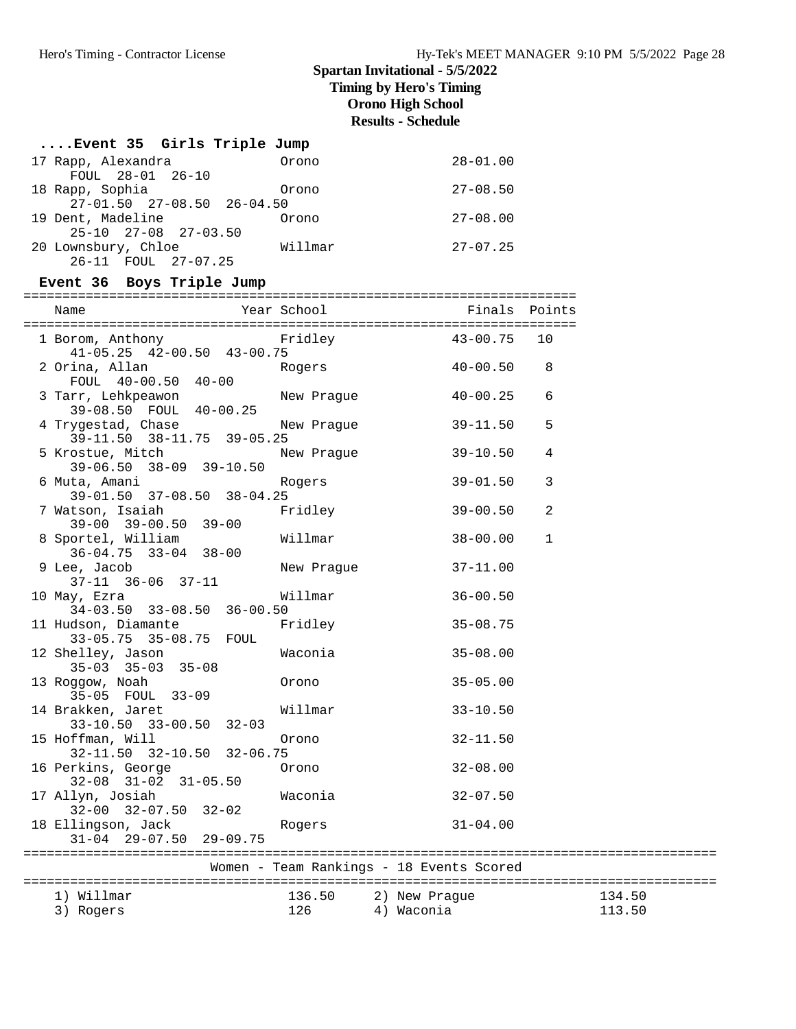| Event 35 Girls Triple Jump                                            |            |                                                  |              |        |
|-----------------------------------------------------------------------|------------|--------------------------------------------------|--------------|--------|
| 17 Rapp, Alexandra<br>FOUL 28-01 26-10                                | Orono      | $28 - 01.00$                                     |              |        |
| 18 Rapp, Sophia<br>$27-01.50$ $27-08.50$ $26-04.50$                   | Orono      | $27 - 08.50$                                     |              |        |
| 19 Dent, Madeline (1986)<br>25-10 27-08 27-03.50                      |            | $27 - 08.00$                                     |              |        |
| 20 Lownsbury, Chloe Willmar<br>26-11 FOUL 27-07.25                    |            | $27-07.25$                                       |              |        |
| Event 36 Boys Triple Jump                                             |            |                                                  |              |        |
| Name                                                                  |            | Year School <a> School <a> Finals Points</a></a> |              |        |
| 1 Borom, Anthony Fridley 43-00.75<br>$41-05.25$ $42-00.50$ $43-00.75$ |            |                                                  | 10           |        |
| 2 Orina, Allan<br>FOUL 40-00.50 40-00                                 | Rogers     | $40 - 00.50$ 8                                   |              |        |
| 3 Tarr, Lehkpeawon<br>39-08.50 FOUL 40-00.25                          | New Prague | 40-00.25                                         | 6            |        |
| 4 Trygestad, Chase<br>39-11.50 38-11.75 39-05.25                      | New Prague | $39 - 11.50$                                     | 5            |        |
| 5 Krostue, Mitch<br>39-06.50 38-09 39-10.50                           | New Prague | 39-10.50                                         | 4            |        |
| 6 Muta, Amani<br>39-01.50 37-08.50 38-04.25                           | Rogers     | $39 - 01.50$                                     | 3            |        |
| 7 Watson, Isaiah<br>$39-00$ $39-00.50$ $39-00$                        | Fridley    | 39-00.50                                         | 2            |        |
| 8 Sportel, William<br>$36 - 04.75$ $33 - 04$ $38 - 00$                | Willmar    | 38-00.00                                         | $\mathbf{1}$ |        |
| 9 Lee, Jacob<br>37-11 36-06 37-11                                     | New Prague | $37 - 11.00$                                     |              |        |
| 10 May, Ezra<br>$34-03.50$ $33-08.50$ $36-00.50$                      | Willmar    | $36 - 00.50$                                     |              |        |
| 11 Hudson, Diamante<br>33-05.75 35-08.75 FOUL                         | Fridley    | $35 - 08.75$                                     |              |        |
| 12 Shelley, Jason<br>$35-03$ $35-03$ $35-08$                          | Waconia    | $35 - 08.00$                                     |              |        |
| 13 Roggow, Noah<br>35-05 FOUL 33-09                                   | Orono      | $35 - 05.00$                                     |              |        |
| 14 Brakken, Jaret<br>33-10.50 33-00.50 32-03                          | Willmar    | $33 - 10.50$                                     |              |        |
| 15 Hoffman, Will<br>32-11.50 32-10.50 32-06.75                        | Orono      | $32 - 11.50$                                     |              |        |
| 16 Perkins, George<br>32-08 31-02 31-05.50                            | Orono      | $32 - 08.00$                                     |              |        |
| 17 Allyn, Josiah<br>$32-00$ $32-07.50$ $32-02$                        | Waconia    | $32 - 07.50$                                     |              |        |
| 18 Ellingson, Jack<br>$31 - 04$ $29 - 07.50$<br>$29 - 09.75$          | Rogers     | $31 - 04.00$                                     |              |        |
|                                                                       |            | Women - Team Rankings - 18 Events Scored         |              |        |
|                                                                       |            |                                                  |              |        |
| 1) Willmar                                                            | 136.50     | 2) New Praque                                    |              | 134.50 |
| 3) Rogers                                                             | 126        | 4) Waconia                                       |              | 113.50 |